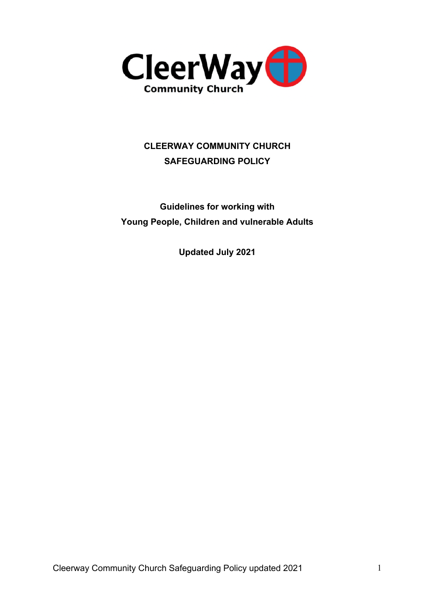

# **CLEERWAY COMMUNITY CHURCH SAFEGUARDING POLICY**

**Guidelines for working with Young People, Children and vulnerable Adults**

**Updated July 2021**

Cleerway Community Church Safeguarding Policy updated 2021 1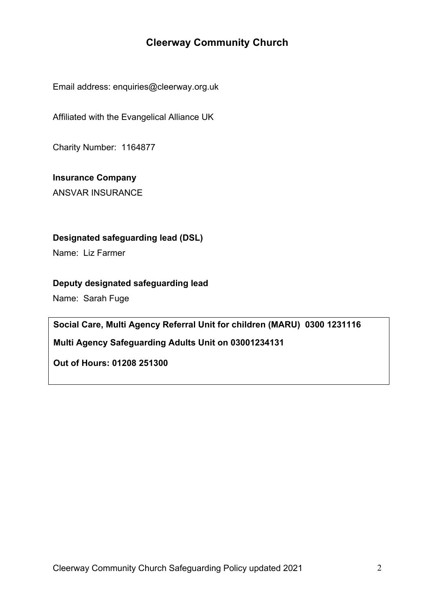# **Cleerway Community Church**

Email address: enquiries@cleerway.org.uk

Affiliated with the Evangelical Alliance UK

Charity Number: 1164877

**Insurance Company** ANSVAR INSURANCE

### **Designated safeguarding lead (DSL)**

Name: Liz Farmer

### **Deputy designated safeguarding lead**

Name: Sarah Fuge

**Social Care, Multi Agency Referral Unit for children (MARU) 0300 1231116**

### **Multi Agency Safeguarding Adults Unit on 03001234131**

**Out of Hours: 01208 251300**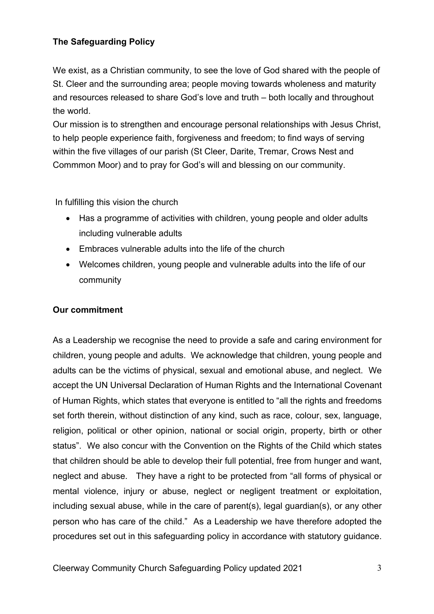### **The Safeguarding Policy**

We exist, as a Christian community, to see the love of God shared with the people of St. Cleer and the surrounding area; people moving towards wholeness and maturity and resources released to share God's love and truth – both locally and throughout the world.

Our mission is to strengthen and encourage personal relationships with Jesus Christ, to help people experience faith, forgiveness and freedom; to find ways of serving within the five villages of our parish (St Cleer, Darite, Tremar, Crows Nest and Commmon Moor) and to pray for God's will and blessing on our community.

In fulfilling this vision the church

- Has a programme of activities with children, young people and older adults including vulnerable adults
- Embraces vulnerable adults into the life of the church
- Welcomes children, young people and vulnerable adults into the life of our community

### **Our commitment**

As a Leadership we recognise the need to provide a safe and caring environment for children, young people and adults. We acknowledge that children, young people and adults can be the victims of physical, sexual and emotional abuse, and neglect. We accept the UN Universal Declaration of Human Rights and the International Covenant of Human Rights, which states that everyone is entitled to "all the rights and freedoms set forth therein, without distinction of any kind, such as race, colour, sex, language, religion, political or other opinion, national or social origin, property, birth or other status". We also concur with the Convention on the Rights of the Child which states that children should be able to develop their full potential, free from hunger and want, neglect and abuse. They have a right to be protected from "all forms of physical or mental violence, injury or abuse, neglect or negligent treatment or exploitation, including sexual abuse, while in the care of parent(s), legal guardian(s), or any other person who has care of the child." As a Leadership we have therefore adopted the procedures set out in this safeguarding policy in accordance with statutory guidance.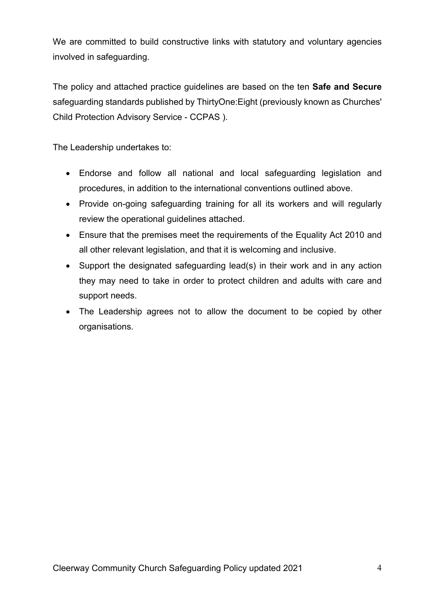We are committed to build constructive links with statutory and voluntary agencies involved in safeguarding.

The policy and attached practice guidelines are based on the ten **Safe and Secure** safeguarding standards published by ThirtyOne:Eight (previously known as Churches' Child Protection Advisory Service - CCPAS ).

The Leadership undertakes to:

- Endorse and follow all national and local safeguarding legislation and procedures, in addition to the international conventions outlined above.
- Provide on-going safeguarding training for all its workers and will regularly review the operational guidelines attached.
- Ensure that the premises meet the requirements of the Equality Act 2010 and all other relevant legislation, and that it is welcoming and inclusive.
- Support the designated safeguarding lead(s) in their work and in any action they may need to take in order to protect children and adults with care and support needs.
- The Leadership agrees not to allow the document to be copied by other organisations.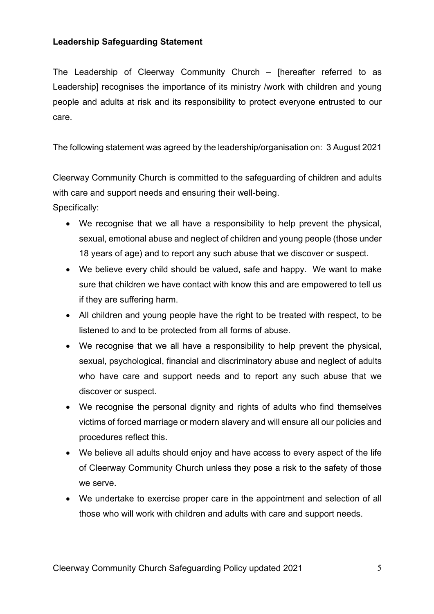### **Leadership Safeguarding Statement**

The Leadership of Cleerway Community Church – [hereafter referred to as Leadership] recognises the importance of its ministry /work with children and young people and adults at risk and its responsibility to protect everyone entrusted to our care.

The following statement was agreed by the leadership/organisation on: 3 August 2021

Cleerway Community Church is committed to the safeguarding of children and adults with care and support needs and ensuring their well-being.

Specifically:

- We recognise that we all have a responsibility to help prevent the physical, sexual, emotional abuse and neglect of children and young people (those under 18 years of age) and to report any such abuse that we discover or suspect.
- We believe every child should be valued, safe and happy. We want to make sure that children we have contact with know this and are empowered to tell us if they are suffering harm.
- All children and young people have the right to be treated with respect, to be listened to and to be protected from all forms of abuse.
- We recognise that we all have a responsibility to help prevent the physical, sexual, psychological, financial and discriminatory abuse and neglect of adults who have care and support needs and to report any such abuse that we discover or suspect.
- We recognise the personal dignity and rights of adults who find themselves victims of forced marriage or modern slavery and will ensure all our policies and procedures reflect this.
- We believe all adults should enjoy and have access to every aspect of the life of Cleerway Community Church unless they pose a risk to the safety of those we serve.
- We undertake to exercise proper care in the appointment and selection of all those who will work with children and adults with care and support needs.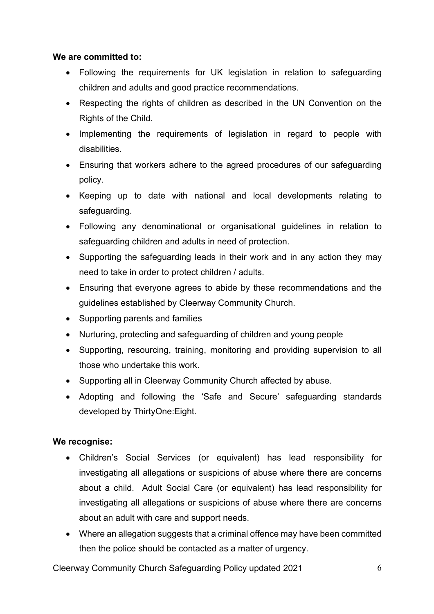### **We are committed to:**

- Following the requirements for UK legislation in relation to safeguarding children and adults and good practice recommendations.
- Respecting the rights of children as described in the UN Convention on the Rights of the Child.
- Implementing the requirements of legislation in regard to people with disabilities.
- Ensuring that workers adhere to the agreed procedures of our safeguarding policy.
- Keeping up to date with national and local developments relating to safeguarding.
- Following any denominational or organisational guidelines in relation to safeguarding children and adults in need of protection.
- Supporting the safeguarding leads in their work and in any action they may need to take in order to protect children / adults.
- Ensuring that everyone agrees to abide by these recommendations and the guidelines established by Cleerway Community Church.
- Supporting parents and families
- Nurturing, protecting and safeguarding of children and young people
- Supporting, resourcing, training, monitoring and providing supervision to all those who undertake this work.
- Supporting all in Cleerway Community Church affected by abuse.
- Adopting and following the 'Safe and Secure' safeguarding standards developed by ThirtyOne:Eight.

## **We recognise:**

- Children's Social Services (or equivalent) has lead responsibility for investigating all allegations or suspicions of abuse where there are concerns about a child. Adult Social Care (or equivalent) has lead responsibility for investigating all allegations or suspicions of abuse where there are concerns about an adult with care and support needs.
- Where an allegation suggests that a criminal offence may have been committed then the police should be contacted as a matter of urgency.

Cleerway Community Church Safeguarding Policy updated 2021 6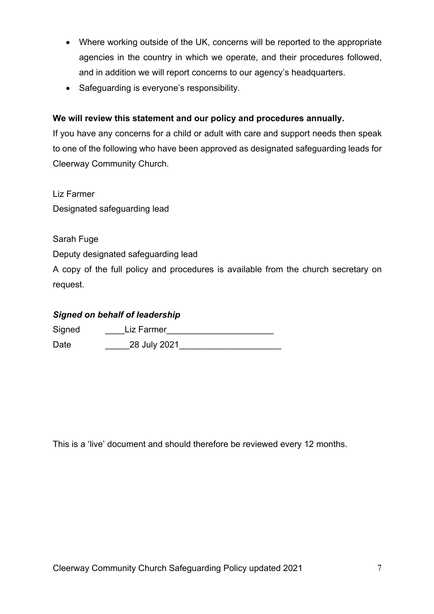- Where working outside of the UK, concerns will be reported to the appropriate agencies in the country in which we operate, and their procedures followed, and in addition we will report concerns to our agency's headquarters.
- Safeguarding is everyone's responsibility.

### **We will review this statement and our policy and procedures annually.**

If you have any concerns for a child or adult with care and support needs then speak to one of the following who have been approved as designated safeguarding leads for Cleerway Community Church.

Liz Farmer Designated safeguarding lead

Sarah Fuge

Deputy designated safeguarding lead

A copy of the full policy and procedures is available from the church secretary on request.

### *Signed on behalf of leadership*

Signed \_\_\_\_Liz Farmer\_\_\_\_\_\_\_\_\_\_\_\_\_\_\_\_\_\_\_\_\_\_ Date  $28$  July 2021

This is a 'live' document and should therefore be reviewed every 12 months.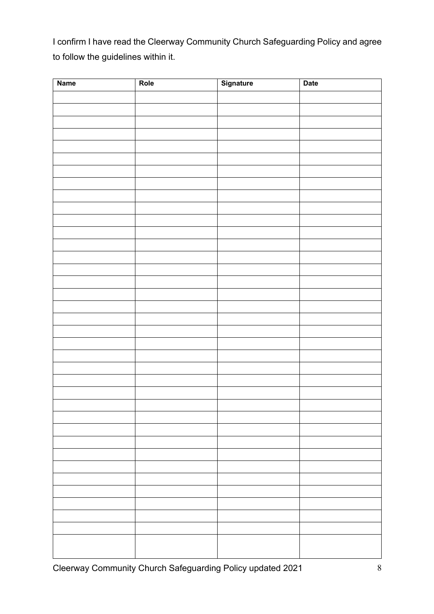I confirm I have read the Cleerway Community Church Safeguarding Policy and agree to follow the guidelines within it.

| <b>Name</b> | Role | Signature | <b>Date</b> |
|-------------|------|-----------|-------------|
|             |      |           |             |
|             |      |           |             |
|             |      |           |             |
|             |      |           |             |
|             |      |           |             |
|             |      |           |             |
|             |      |           |             |
|             |      |           |             |
|             |      |           |             |
|             |      |           |             |
|             |      |           |             |
|             |      |           |             |
|             |      |           |             |
|             |      |           |             |
|             |      |           |             |
|             |      |           |             |
|             |      |           |             |
|             |      |           |             |
|             |      |           |             |
|             |      |           |             |
|             |      |           |             |
|             |      |           |             |
|             |      |           |             |
|             |      |           |             |
|             |      |           |             |
|             |      |           |             |
|             |      |           |             |
|             |      |           |             |
|             |      |           |             |
|             |      |           |             |
|             |      |           |             |
|             |      |           |             |
|             |      |           |             |
|             |      |           |             |
|             |      |           |             |
|             |      |           |             |
|             |      |           |             |
|             |      |           |             |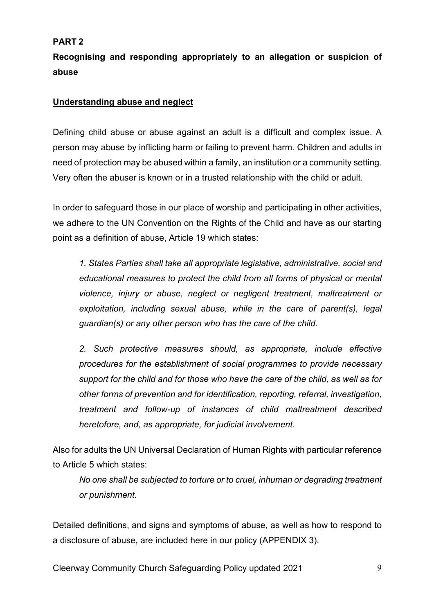### **PART 2**

**Recognising and responding appropriately to an allegation or suspicion of abuse**

### **Understanding abuse and neglect**

Defining child abuse or abuse against an adult is a difficult and complex issue. A person may abuse by inflicting harm or failing to prevent harm. Children and adults in need of protection may be abused within a family, an institution or a community setting. Very often the abuser is known or in a trusted relationship with the child or adult.

In order to safeguard those in our place of worship and participating in other activities, we adhere to the UN Convention on the Rights of the Child and have as our starting point as a definition of abuse, Article 19 which states:

*1. States Parties shall take all appropriate legislative, administrative, social and educational measures to protect the child from all forms of physical or mental violence, injury or abuse, neglect or negligent treatment, maltreatment or exploitation, including sexual abuse, while in the care of parent(s), legal guardian(s) or any other person who has the care of the child.* 

*2. Such protective measures should, as appropriate, include effective procedures for the establishment of social programmes to provide necessary support for the child and for those who have the care of the child, as well as for other forms of prevention and for identification, reporting, referral, investigation, treatment and follow-up of instances of child maltreatment described heretofore, and, as appropriate, for judicial involvement.* 

Also for adults the UN Universal Declaration of Human Rights with particular reference to Article 5 which states:

*No one shall be subjected to torture or to cruel, inhuman or degrading treatment or punishment.*

Detailed definitions, and signs and symptoms of abuse, as well as how to respond to a disclosure of abuse, are included here in our policy (APPENDIX 3).

Cleerway Community Church Safeguarding Policy updated 2021 9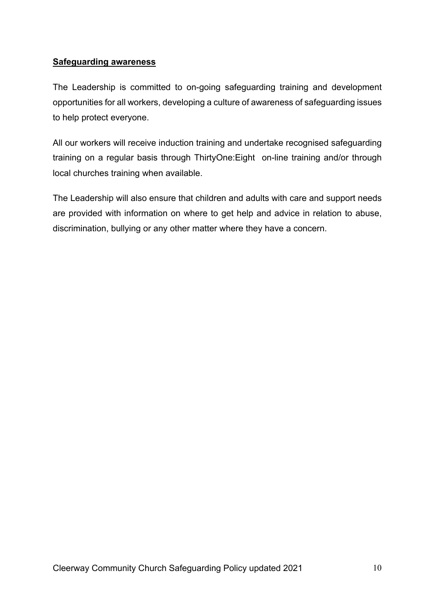### **Safeguarding awareness**

The Leadership is committed to on-going safeguarding training and development opportunities for all workers, developing a culture of awareness of safeguarding issues to help protect everyone.

All our workers will receive induction training and undertake recognised safeguarding training on a regular basis through ThirtyOne:Eight on-line training and/or through local churches training when available.

The Leadership will also ensure that children and adults with care and support needs are provided with information on where to get help and advice in relation to abuse, discrimination, bullying or any other matter where they have a concern.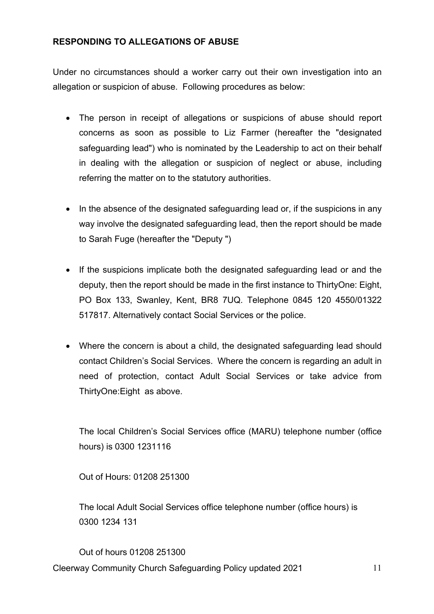### **RESPONDING TO ALLEGATIONS OF ABUSE**

Under no circumstances should a worker carry out their own investigation into an allegation or suspicion of abuse. Following procedures as below:

- The person in receipt of allegations or suspicions of abuse should report concerns as soon as possible to Liz Farmer (hereafter the "designated safeguarding lead") who is nominated by the Leadership to act on their behalf in dealing with the allegation or suspicion of neglect or abuse, including referring the matter on to the statutory authorities.
- In the absence of the designated safeguarding lead or, if the suspicions in any way involve the designated safeguarding lead, then the report should be made to Sarah Fuge (hereafter the "Deputy ")
- If the suspicions implicate both the designated safeguarding lead or and the deputy, then the report should be made in the first instance to ThirtyOne: Eight, PO Box 133, Swanley, Kent, BR8 7UQ. Telephone 0845 120 4550/01322 517817. Alternatively contact Social Services or the police.
- Where the concern is about a child, the designated safeguarding lead should contact Children's Social Services. Where the concern is regarding an adult in need of protection, contact Adult Social Services or take advice from ThirtyOne:Eight as above.

The local Children's Social Services office (MARU) telephone number (office hours) is 0300 1231116

Out of Hours: 01208 251300

The local Adult Social Services office telephone number (office hours) is 0300 1234 131

Cleerway Community Church Safeguarding Policy updated 2021 11 Out of hours 01208 251300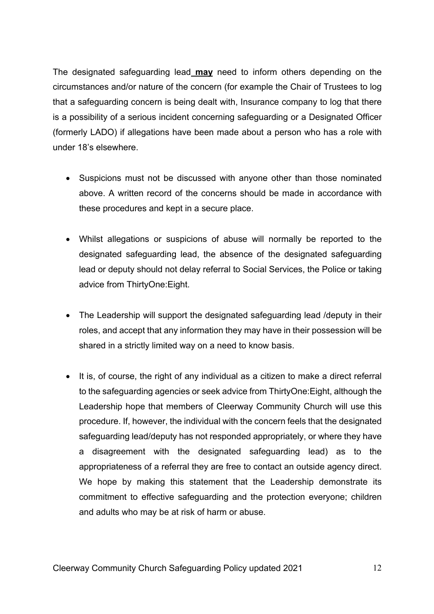The designated safeguarding lead **may** need to inform others depending on the circumstances and/or nature of the concern (for example the Chair of Trustees to log that a safeguarding concern is being dealt with, Insurance company to log that there is a possibility of a serious incident concerning safeguarding or a Designated Officer (formerly LADO) if allegations have been made about a person who has a role with under 18's elsewhere.

- Suspicions must not be discussed with anyone other than those nominated above. A written record of the concerns should be made in accordance with these procedures and kept in a secure place.
- Whilst allegations or suspicions of abuse will normally be reported to the designated safeguarding lead, the absence of the designated safeguarding lead or deputy should not delay referral to Social Services, the Police or taking advice from ThirtyOne:Eight.
- The Leadership will support the designated safeguarding lead /deputy in their roles, and accept that any information they may have in their possession will be shared in a strictly limited way on a need to know basis.
- It is, of course, the right of any individual as a citizen to make a direct referral to the safeguarding agencies or seek advice from ThirtyOne:Eight, although the Leadership hope that members of Cleerway Community Church will use this procedure. If, however, the individual with the concern feels that the designated safeguarding lead/deputy has not responded appropriately, or where they have a disagreement with the designated safeguarding lead) as to the appropriateness of a referral they are free to contact an outside agency direct. We hope by making this statement that the Leadership demonstrate its commitment to effective safeguarding and the protection everyone; children and adults who may be at risk of harm or abuse.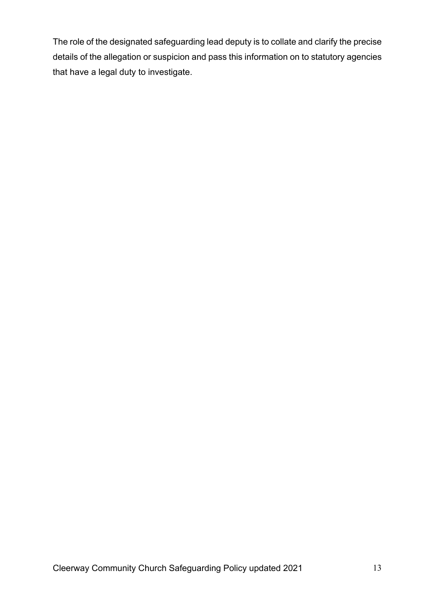The role of the designated safeguarding lead deputy is to collate and clarify the precise details of the allegation or suspicion and pass this information on to statutory agencies that have a legal duty to investigate.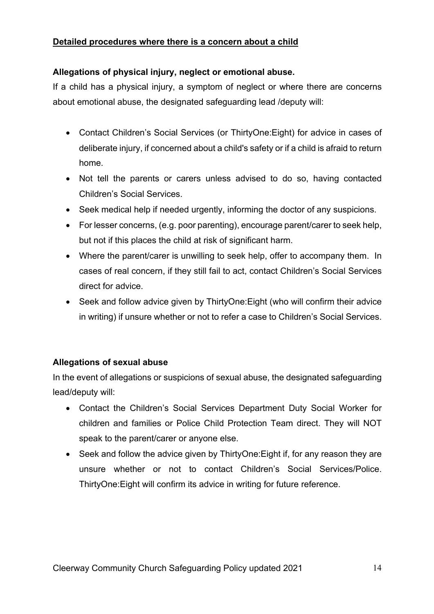### **Detailed procedures where there is a concern about a child**

### **Allegations of physical injury, neglect or emotional abuse.**

If a child has a physical injury, a symptom of neglect or where there are concerns about emotional abuse, the designated safeguarding lead /deputy will:

- Contact Children's Social Services (or ThirtyOne:Eight) for advice in cases of deliberate injury, if concerned about a child's safety or if a child is afraid to return home.
- Not tell the parents or carers unless advised to do so, having contacted Children's Social Services.
- Seek medical help if needed urgently, informing the doctor of any suspicions.
- For lesser concerns, (e.g. poor parenting), encourage parent/carer to seek help, but not if this places the child at risk of significant harm.
- Where the parent/carer is unwilling to seek help, offer to accompany them. In cases of real concern, if they still fail to act, contact Children's Social Services direct for advice.
- Seek and follow advice given by ThirtyOne: Eight (who will confirm their advice in writing) if unsure whether or not to refer a case to Children's Social Services.

## **Allegations of sexual abuse**

In the event of allegations or suspicions of sexual abuse, the designated safeguarding lead/deputy will:

- Contact the Children's Social Services Department Duty Social Worker for children and families or Police Child Protection Team direct. They will NOT speak to the parent/carer or anyone else.
- Seek and follow the advice given by ThirtyOne:Eight if, for any reason they are unsure whether or not to contact Children's Social Services/Police. ThirtyOne:Eight will confirm its advice in writing for future reference.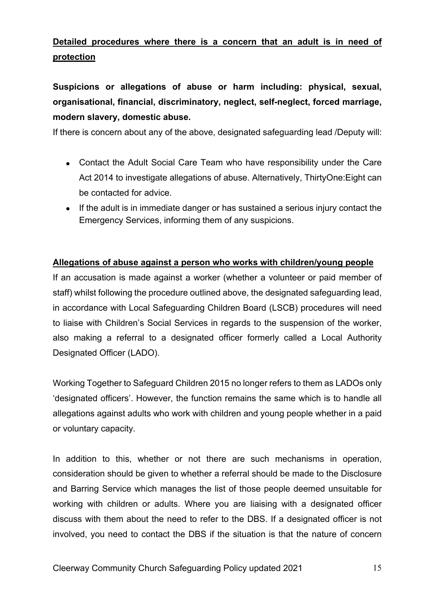# **Detailed procedures where there is a concern that an adult is in need of protection**

**Suspicions or allegations of abuse or harm including: physical, sexual, organisational, financial, discriminatory, neglect, self-neglect, forced marriage, modern slavery, domestic abuse.**

If there is concern about any of the above, designated safeguarding lead /Deputy will:

- Contact the Adult Social Care Team who have responsibility under the Care Act 2014 to investigate allegations of abuse. Alternatively, ThirtyOne:Eight can be contacted for advice.
- If the adult is in immediate danger or has sustained a serious injury contact the Emergency Services, informing them of any suspicions.

### **Allegations of abuse against a person who works with children/young people**

If an accusation is made against a worker (whether a volunteer or paid member of staff) whilst following the procedure outlined above, the designated safeguarding lead, in accordance with Local Safeguarding Children Board (LSCB) procedures will need to liaise with Children's Social Services in regards to the suspension of the worker, also making a referral to a designated officer formerly called a Local Authority Designated Officer (LADO).

Working Together to Safeguard Children 2015 no longer refers to them as LADOs only 'designated officers'. However, the function remains the same which is to handle all allegations against adults who work with children and young people whether in a paid or voluntary capacity.

In addition to this, whether or not there are such mechanisms in operation, consideration should be given to whether a referral should be made to the Disclosure and Barring Service which manages the list of those people deemed unsuitable for working with children or adults. Where you are liaising with a designated officer discuss with them about the need to refer to the DBS. If a designated officer is not involved, you need to contact the DBS if the situation is that the nature of concern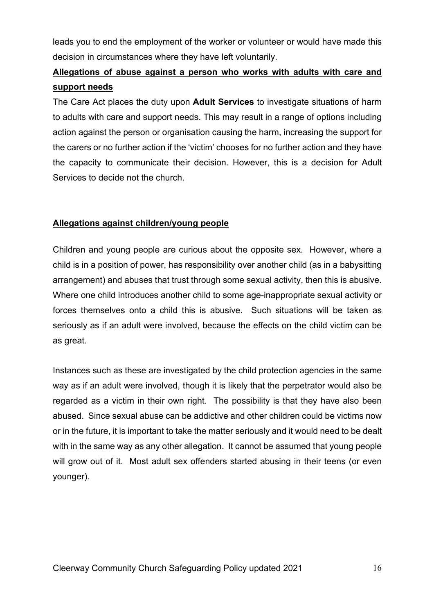leads you to end the employment of the worker or volunteer or would have made this decision in circumstances where they have left voluntarily.

# **Allegations of abuse against a person who works with adults with care and support needs**

The Care Act places the duty upon **Adult Services** to investigate situations of harm to adults with care and support needs. This may result in a range of options including action against the person or organisation causing the harm, increasing the support for the carers or no further action if the 'victim' chooses for no further action and they have the capacity to communicate their decision. However, this is a decision for Adult Services to decide not the church.

### **Allegations against children/young people**

Children and young people are curious about the opposite sex. However, where a child is in a position of power, has responsibility over another child (as in a babysitting arrangement) and abuses that trust through some sexual activity, then this is abusive. Where one child introduces another child to some age-inappropriate sexual activity or forces themselves onto a child this is abusive. Such situations will be taken as seriously as if an adult were involved, because the effects on the child victim can be as great.

Instances such as these are investigated by the child protection agencies in the same way as if an adult were involved, though it is likely that the perpetrator would also be regarded as a victim in their own right. The possibility is that they have also been abused. Since sexual abuse can be addictive and other children could be victims now or in the future, it is important to take the matter seriously and it would need to be dealt with in the same way as any other allegation. It cannot be assumed that young people will grow out of it. Most adult sex offenders started abusing in their teens (or even younger).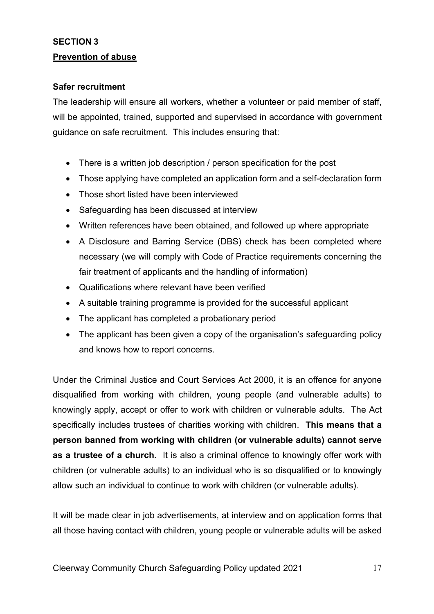# **SECTION 3 Prevention of abuse**

### **Safer recruitment**

The leadership will ensure all workers, whether a volunteer or paid member of staff, will be appointed, trained, supported and supervised in accordance with government guidance on safe recruitment. This includes ensuring that:

- There is a written job description / person specification for the post
- Those applying have completed an application form and a self-declaration form
- Those short listed have been interviewed
- Safeguarding has been discussed at interview
- Written references have been obtained, and followed up where appropriate
- A Disclosure and Barring Service (DBS) check has been completed where necessary (we will comply with Code of Practice requirements concerning the fair treatment of applicants and the handling of information)
- Qualifications where relevant have been verified
- A suitable training programme is provided for the successful applicant
- The applicant has completed a probationary period
- The applicant has been given a copy of the organisation's safeguarding policy and knows how to report concerns.

Under the Criminal Justice and Court Services Act 2000, it is an offence for anyone disqualified from working with children, young people (and vulnerable adults) to knowingly apply, accept or offer to work with children or vulnerable adults. The Act specifically includes trustees of charities working with children. **This means that a person banned from working with children (or vulnerable adults) cannot serve as a trustee of a church.** It is also a criminal offence to knowingly offer work with children (or vulnerable adults) to an individual who is so disqualified or to knowingly allow such an individual to continue to work with children (or vulnerable adults).

It will be made clear in job advertisements, at interview and on application forms that all those having contact with children, young people or vulnerable adults will be asked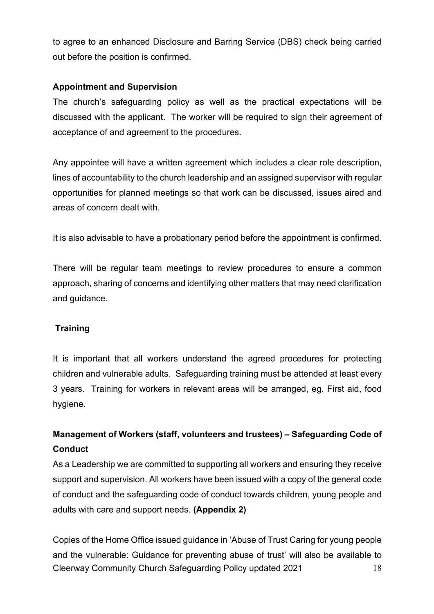to agree to an enhanced Disclosure and Barring Service (DBS) check being carried out before the position is confirmed.

### **Appointment and Supervision**

The church's safeguarding policy as well as the practical expectations will be discussed with the applicant. The worker will be required to sign their agreement of acceptance of and agreement to the procedures.

Any appointee will have a written agreement which includes a clear role description, lines of accountability to the church leadership and an assigned supervisor with regular opportunities for planned meetings so that work can be discussed, issues aired and areas of concern dealt with.

It is also advisable to have a probationary period before the appointment is confirmed.

There will be regular team meetings to review procedures to ensure a common approach, sharing of concerns and identifying other matters that may need clarification and guidance.

### **Training**

It is important that all workers understand the agreed procedures for protecting children and vulnerable adults. Safeguarding training must be attended at least every 3 years. Training for workers in relevant areas will be arranged, eg. First aid, food hygiene.

# **Management of Workers (staff, volunteers and trustees) – Safeguarding Code of Conduct**

As a Leadership we are committed to supporting all workers and ensuring they receive support and supervision. All workers have been issued with a copy of the general code of conduct and the safeguarding code of conduct towards children, young people and adults with care and support needs. **(Appendix 2)**

Cleerway Community Church Safeguarding Policy updated 2021 18 Copies of the Home Office issued guidance in 'Abuse of Trust Caring for young people and the vulnerable: Guidance for preventing abuse of trust' will also be available to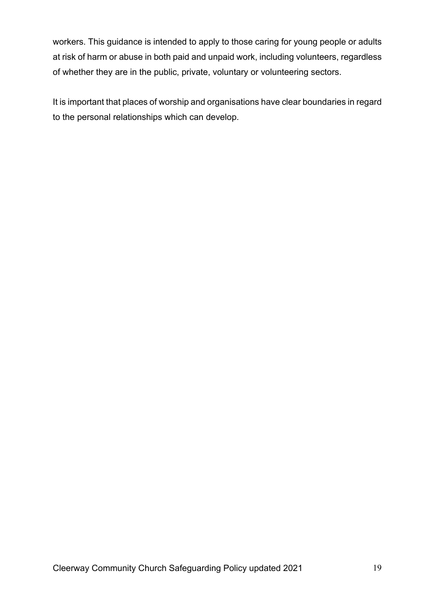workers. This guidance is intended to apply to those caring for young people or adults at risk of harm or abuse in both paid and unpaid work, including volunteers, regardless of whether they are in the public, private, voluntary or volunteering sectors.

It is important that places of worship and organisations have clear boundaries in regard to the personal relationships which can develop.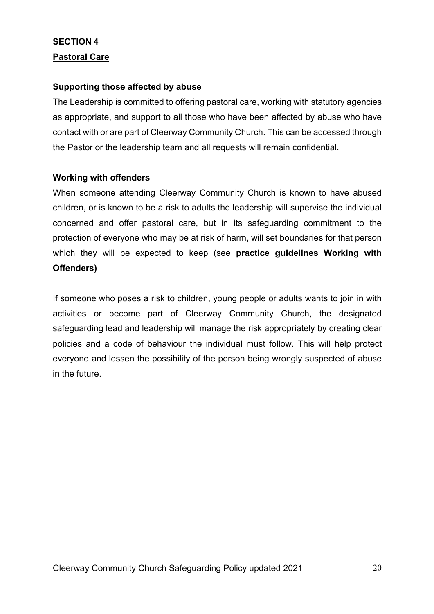# **SECTION 4 Pastoral Care**

### **Supporting those affected by abuse**

The Leadership is committed to offering pastoral care, working with statutory agencies as appropriate, and support to all those who have been affected by abuse who have contact with or are part of Cleerway Community Church. This can be accessed through the Pastor or the leadership team and all requests will remain confidential.

### **Working with offenders**

When someone attending Cleerway Community Church is known to have abused children, or is known to be a risk to adults the leadership will supervise the individual concerned and offer pastoral care, but in its safeguarding commitment to the protection of everyone who may be at risk of harm, will set boundaries for that person which they will be expected to keep (see **practice guidelines Working with Offenders)**

If someone who poses a risk to children, young people or adults wants to join in with activities or become part of Cleerway Community Church, the designated safeguarding lead and leadership will manage the risk appropriately by creating clear policies and a code of behaviour the individual must follow. This will help protect everyone and lessen the possibility of the person being wrongly suspected of abuse in the future.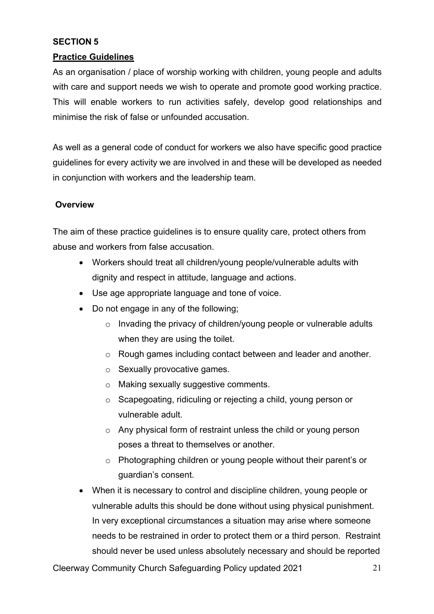### **SECTION 5**

### **Practice Guidelines**

As an organisation / place of worship working with children, young people and adults with care and support needs we wish to operate and promote good working practice. This will enable workers to run activities safely, develop good relationships and minimise the risk of false or unfounded accusation.

As well as a general code of conduct for workers we also have specific good practice guidelines for every activity we are involved in and these will be developed as needed in conjunction with workers and the leadership team.

### **Overview**

The aim of these practice guidelines is to ensure quality care, protect others from abuse and workers from false accusation.

- Workers should treat all children/young people/vulnerable adults with dignity and respect in attitude, language and actions.
- Use age appropriate language and tone of voice.
- Do not engage in any of the following;
	- o Invading the privacy of children/young people or vulnerable adults when they are using the toilet.
	- o Rough games including contact between and leader and another.
	- o Sexually provocative games.
	- o Making sexually suggestive comments.
	- o Scapegoating, ridiculing or rejecting a child, young person or vulnerable adult.
	- o Any physical form of restraint unless the child or young person poses a threat to themselves or another.
	- o Photographing children or young people without their parent's or guardian's consent.
- When it is necessary to control and discipline children, young people or vulnerable adults this should be done without using physical punishment. In very exceptional circumstances a situation may arise where someone needs to be restrained in order to protect them or a third person. Restraint should never be used unless absolutely necessary and should be reported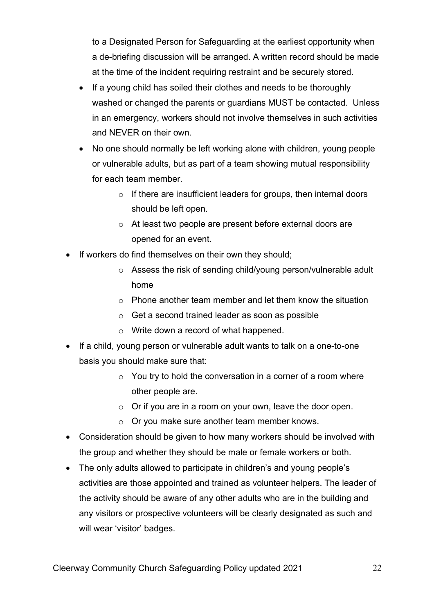to a Designated Person for Safeguarding at the earliest opportunity when a de-briefing discussion will be arranged. A written record should be made at the time of the incident requiring restraint and be securely stored.

- If a young child has soiled their clothes and needs to be thoroughly washed or changed the parents or guardians MUST be contacted. Unless in an emergency, workers should not involve themselves in such activities and NEVER on their own.
- No one should normally be left working alone with children, young people or vulnerable adults, but as part of a team showing mutual responsibility for each team member.
	- o If there are insufficient leaders for groups, then internal doors should be left open.
	- o At least two people are present before external doors are opened for an event.
- If workers do find themselves on their own they should;
	- o Assess the risk of sending child/young person/vulnerable adult home
	- $\circ$  Phone another team member and let them know the situation
	- o Get a second trained leader as soon as possible
	- o Write down a record of what happened.
- If a child, young person or vulnerable adult wants to talk on a one-to-one basis you should make sure that:
	- $\circ$  You try to hold the conversation in a corner of a room where other people are.
	- $\circ$  Or if you are in a room on your own, leave the door open.
	- o Or you make sure another team member knows.
- Consideration should be given to how many workers should be involved with the group and whether they should be male or female workers or both.
- The only adults allowed to participate in children's and young people's activities are those appointed and trained as volunteer helpers. The leader of the activity should be aware of any other adults who are in the building and any visitors or prospective volunteers will be clearly designated as such and will wear 'visitor' badges.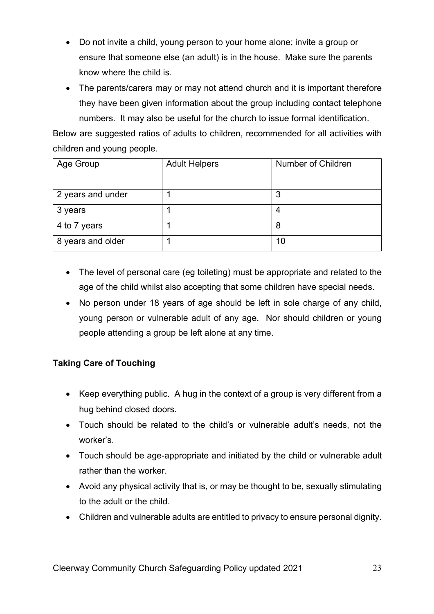- Do not invite a child, young person to your home alone; invite a group or ensure that someone else (an adult) is in the house. Make sure the parents know where the child is.
- The parents/carers may or may not attend church and it is important therefore they have been given information about the group including contact telephone numbers. It may also be useful for the church to issue formal identification.

Below are suggested ratios of adults to children, recommended for all activities with children and young people.

| Age Group         | <b>Adult Helpers</b> | Number of Children |
|-------------------|----------------------|--------------------|
|                   |                      |                    |
| 2 years and under |                      | 3                  |
| 3 years           |                      | 4                  |
| 4 to 7 years      |                      | 8                  |
| 8 years and older |                      | 10                 |

- The level of personal care (eg toileting) must be appropriate and related to the age of the child whilst also accepting that some children have special needs.
- No person under 18 years of age should be left in sole charge of any child, young person or vulnerable adult of any age. Nor should children or young people attending a group be left alone at any time.

## **Taking Care of Touching**

- Keep everything public. A hug in the context of a group is very different from a hug behind closed doors.
- Touch should be related to the child's or vulnerable adult's needs, not the worker's.
- Touch should be age-appropriate and initiated by the child or vulnerable adult rather than the worker.
- Avoid any physical activity that is, or may be thought to be, sexually stimulating to the adult or the child.
- Children and vulnerable adults are entitled to privacy to ensure personal dignity.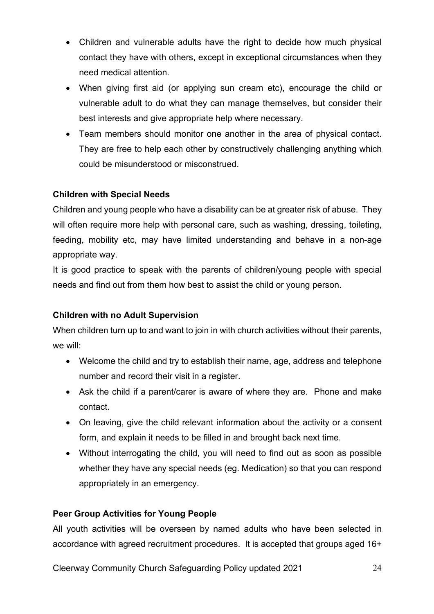- Children and vulnerable adults have the right to decide how much physical contact they have with others, except in exceptional circumstances when they need medical attention.
- When giving first aid (or applying sun cream etc), encourage the child or vulnerable adult to do what they can manage themselves, but consider their best interests and give appropriate help where necessary.
- Team members should monitor one another in the area of physical contact. They are free to help each other by constructively challenging anything which could be misunderstood or misconstrued.

### **Children with Special Needs**

Children and young people who have a disability can be at greater risk of abuse. They will often require more help with personal care, such as washing, dressing, toileting, feeding, mobility etc, may have limited understanding and behave in a non-age appropriate way.

It is good practice to speak with the parents of children/young people with special needs and find out from them how best to assist the child or young person.

### **Children with no Adult Supervision**

When children turn up to and want to join in with church activities without their parents, we will:

- Welcome the child and try to establish their name, age, address and telephone number and record their visit in a register.
- Ask the child if a parent/carer is aware of where they are. Phone and make contact.
- On leaving, give the child relevant information about the activity or a consent form, and explain it needs to be filled in and brought back next time.
- Without interrogating the child, you will need to find out as soon as possible whether they have any special needs (eg. Medication) so that you can respond appropriately in an emergency.

### **Peer Group Activities for Young People**

All youth activities will be overseen by named adults who have been selected in accordance with agreed recruitment procedures. It is accepted that groups aged 16+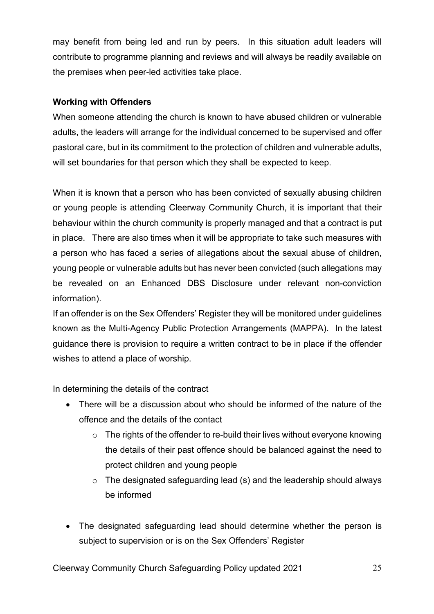may benefit from being led and run by peers. In this situation adult leaders will contribute to programme planning and reviews and will always be readily available on the premises when peer-led activities take place.

### **Working with Offenders**

When someone attending the church is known to have abused children or vulnerable adults, the leaders will arrange for the individual concerned to be supervised and offer pastoral care, but in its commitment to the protection of children and vulnerable adults, will set boundaries for that person which they shall be expected to keep.

When it is known that a person who has been convicted of sexually abusing children or young people is attending Cleerway Community Church, it is important that their behaviour within the church community is properly managed and that a contract is put in place. There are also times when it will be appropriate to take such measures with a person who has faced a series of allegations about the sexual abuse of children, young people or vulnerable adults but has never been convicted (such allegations may be revealed on an Enhanced DBS Disclosure under relevant non-conviction information).

If an offender is on the Sex Offenders' Register they will be monitored under guidelines known as the Multi-Agency Public Protection Arrangements (MAPPA). In the latest guidance there is provision to require a written contract to be in place if the offender wishes to attend a place of worship.

In determining the details of the contract

- There will be a discussion about who should be informed of the nature of the offence and the details of the contact
	- $\circ$  The rights of the offender to re-build their lives without everyone knowing the details of their past offence should be balanced against the need to protect children and young people
	- $\circ$  The designated safeguarding lead (s) and the leadership should always be informed
- The designated safeguarding lead should determine whether the person is subject to supervision or is on the Sex Offenders' Register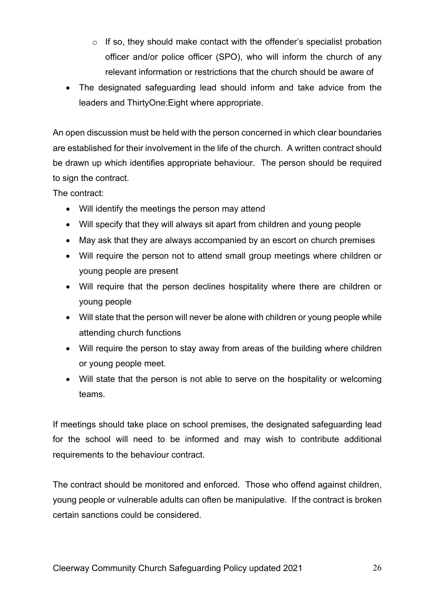- $\circ$  If so, they should make contact with the offender's specialist probation officer and/or police officer (SPO), who will inform the church of any relevant information or restrictions that the church should be aware of
- The designated safeguarding lead should inform and take advice from the leaders and ThirtyOne:Eight where appropriate.

An open discussion must be held with the person concerned in which clear boundaries are established for their involvement in the life of the church. A written contract should be drawn up which identifies appropriate behaviour. The person should be required to sign the contract.

The contract:

- Will identify the meetings the person may attend
- Will specify that they will always sit apart from children and young people
- May ask that they are always accompanied by an escort on church premises
- Will require the person not to attend small group meetings where children or young people are present
- Will require that the person declines hospitality where there are children or young people
- Will state that the person will never be alone with children or young people while attending church functions
- Will require the person to stay away from areas of the building where children or young people meet.
- Will state that the person is not able to serve on the hospitality or welcoming teams.

If meetings should take place on school premises, the designated safeguarding lead for the school will need to be informed and may wish to contribute additional requirements to the behaviour contract.

The contract should be monitored and enforced. Those who offend against children, young people or vulnerable adults can often be manipulative. If the contract is broken certain sanctions could be considered.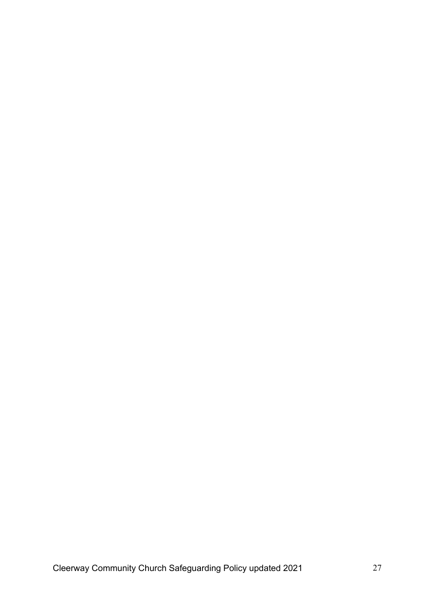Cleerway Community Church Safeguarding Policy updated 2021 27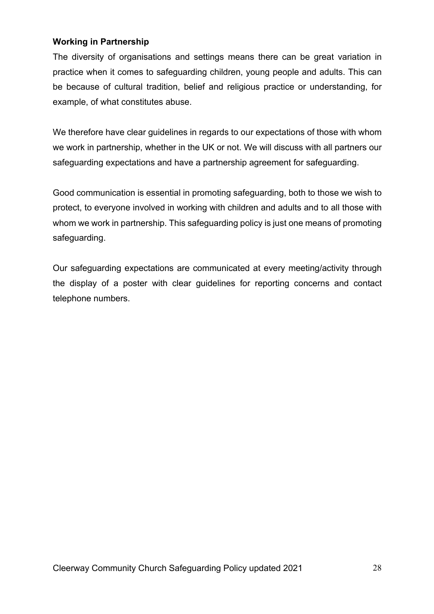### **Working in Partnership**

The diversity of organisations and settings means there can be great variation in practice when it comes to safeguarding children, young people and adults. This can be because of cultural tradition, belief and religious practice or understanding, for example, of what constitutes abuse.

We therefore have clear guidelines in regards to our expectations of those with whom we work in partnership, whether in the UK or not. We will discuss with all partners our safeguarding expectations and have a partnership agreement for safeguarding.

Good communication is essential in promoting safeguarding, both to those we wish to protect, to everyone involved in working with children and adults and to all those with whom we work in partnership. This safeguarding policy is just one means of promoting safeguarding.

Our safeguarding expectations are communicated at every meeting/activity through the display of a poster with clear guidelines for reporting concerns and contact telephone numbers.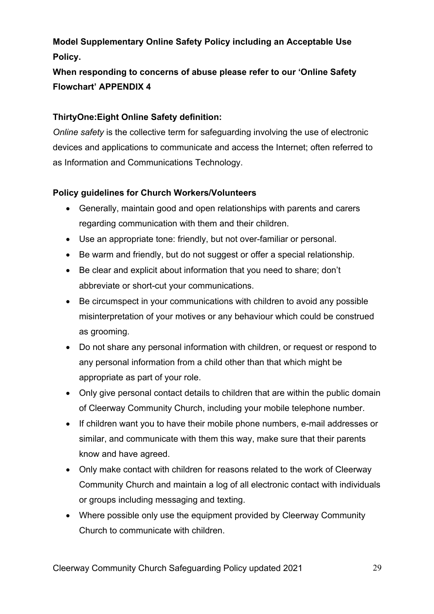**Model Supplementary Online Safety Policy including an Acceptable Use Policy.**

**When responding to concerns of abuse please refer to our 'Online Safety Flowchart' APPENDIX 4**

### **ThirtyOne:Eight Online Safety definition:**

*Online safety* is the collective term for safeguarding involving the use of electronic devices and applications to communicate and access the Internet; often referred to as Information and Communications Technology.

### **Policy guidelines for Church Workers/Volunteers**

- Generally, maintain good and open relationships with parents and carers regarding communication with them and their children.
- Use an appropriate tone: friendly, but not over-familiar or personal.
- Be warm and friendly, but do not suggest or offer a special relationship.
- Be clear and explicit about information that you need to share; don't abbreviate or short-cut your communications.
- Be circumspect in your communications with children to avoid any possible misinterpretation of your motives or any behaviour which could be construed as grooming.
- Do not share any personal information with children, or request or respond to any personal information from a child other than that which might be appropriate as part of your role.
- Only give personal contact details to children that are within the public domain of Cleerway Community Church, including your mobile telephone number.
- If children want you to have their mobile phone numbers, e-mail addresses or similar, and communicate with them this way, make sure that their parents know and have agreed.
- Only make contact with children for reasons related to the work of Cleerway Community Church and maintain a log of all electronic contact with individuals or groups including messaging and texting.
- Where possible only use the equipment provided by Cleerway Community Church to communicate with children.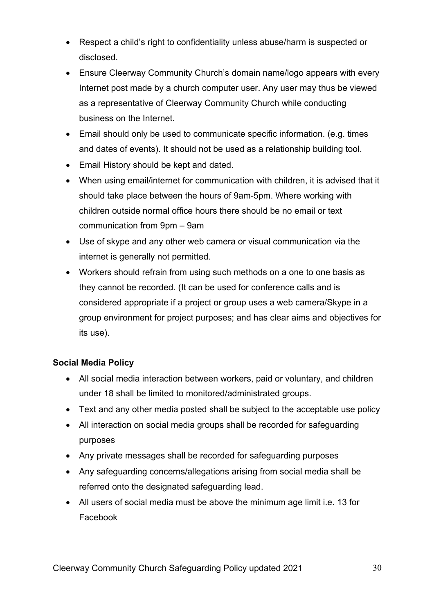- Respect a child's right to confidentiality unless abuse/harm is suspected or disclosed.
- Ensure Cleerway Community Church's domain name/logo appears with every Internet post made by a church computer user. Any user may thus be viewed as a representative of Cleerway Community Church while conducting business on the Internet.
- Email should only be used to communicate specific information. (e.g. times and dates of events). It should not be used as a relationship building tool.
- Email History should be kept and dated.
- When using email/internet for communication with children, it is advised that it should take place between the hours of 9am-5pm. Where working with children outside normal office hours there should be no email or text communication from 9pm – 9am
- Use of skype and any other web camera or visual communication via the internet is generally not permitted.
- Workers should refrain from using such methods on a one to one basis as they cannot be recorded. (It can be used for conference calls and is considered appropriate if a project or group uses a web camera/Skype in a group environment for project purposes; and has clear aims and objectives for its use).

## **Social Media Policy**

- All social media interaction between workers, paid or voluntary, and children under 18 shall be limited to monitored/administrated groups.
- Text and any other media posted shall be subject to the acceptable use policy
- All interaction on social media groups shall be recorded for safeguarding purposes
- Any private messages shall be recorded for safeguarding purposes
- Any safeguarding concerns/allegations arising from social media shall be referred onto the designated safeguarding lead.
- All users of social media must be above the minimum age limit i.e. 13 for Facebook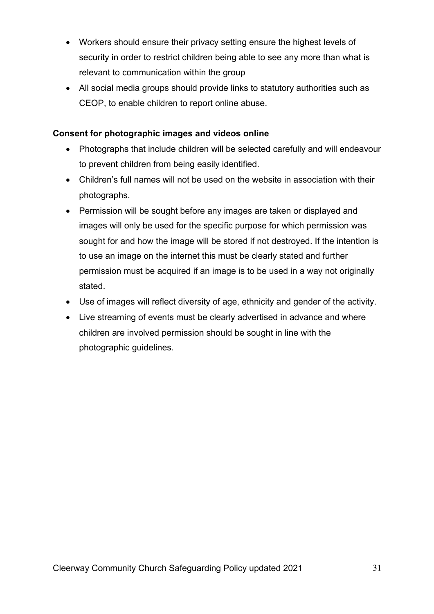- Workers should ensure their privacy setting ensure the highest levels of security in order to restrict children being able to see any more than what is relevant to communication within the group
- All social media groups should provide links to statutory authorities such as CEOP, to enable children to report online abuse.

### **Consent for photographic images and videos online**

- Photographs that include children will be selected carefully and will endeavour to prevent children from being easily identified.
- Children's full names will not be used on the website in association with their photographs.
- Permission will be sought before any images are taken or displayed and images will only be used for the specific purpose for which permission was sought for and how the image will be stored if not destroyed. If the intention is to use an image on the internet this must be clearly stated and further permission must be acquired if an image is to be used in a way not originally stated.
- Use of images will reflect diversity of age, ethnicity and gender of the activity.
- Live streaming of events must be clearly advertised in advance and where children are involved permission should be sought in line with the photographic guidelines.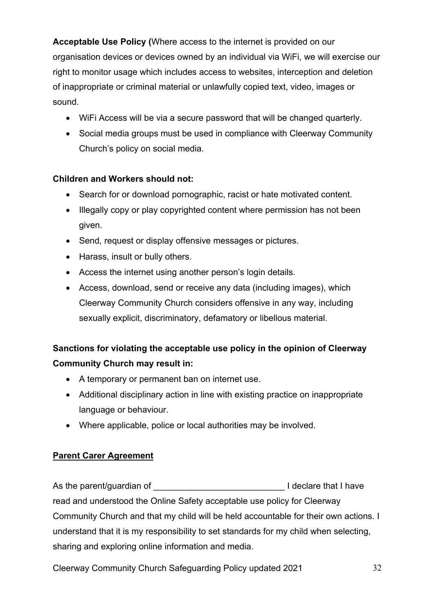**Acceptable Use Policy (**Where access to the internet is provided on our organisation devices or devices owned by an individual via WiFi, we will exercise our right to monitor usage which includes access to websites, interception and deletion of inappropriate or criminal material or unlawfully copied text, video, images or sound.

- WiFi Access will be via a secure password that will be changed quarterly.
- Social media groups must be used in compliance with Cleerway Community Church's policy on social media.

# **Children and Workers should not:**

- Search for or download pornographic, racist or hate motivated content.
- Illegally copy or play copyrighted content where permission has not been given.
- Send, request or display offensive messages or pictures.
- Harass, insult or bully others.
- Access the internet using another person's login details.
- Access, download, send or receive any data (including images), which Cleerway Community Church considers offensive in any way, including sexually explicit, discriminatory, defamatory or libellous material.

# **Sanctions for violating the acceptable use policy in the opinion of Cleerway Community Church may result in:**

- A temporary or permanent ban on internet use.
- Additional disciplinary action in line with existing practice on inappropriate language or behaviour.
- Where applicable, police or local authorities may be involved.

# **Parent Carer Agreement**

As the parent/guardian of  $\Box$  is a set of  $\Box$  is a set of  $\Box$  is a set of  $\Box$  is a set of  $\Box$  is a set of  $\Box$  is a set of  $\Box$  is a set of  $\Box$  is a set of  $\Box$  is a set of  $\Box$  is a set of  $\Box$  is a set of  $\Box$  is a read and understood the Online Safety acceptable use policy for Cleerway Community Church and that my child will be held accountable for their own actions. I understand that it is my responsibility to set standards for my child when selecting, sharing and exploring online information and media.

Cleerway Community Church Safeguarding Policy updated 2021 32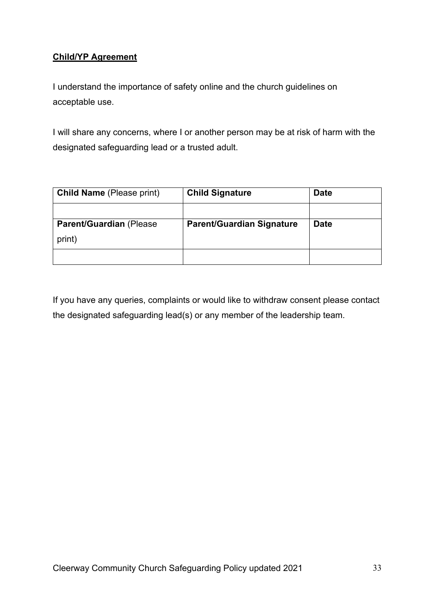# **Child/YP Agreement**

I understand the importance of safety online and the church guidelines on acceptable use.

I will share any concerns, where I or another person may be at risk of harm with the designated safeguarding lead or a trusted adult.

| <b>Child Name</b> (Please print) | <b>Child Signature</b>           | <b>Date</b> |
|----------------------------------|----------------------------------|-------------|
|                                  |                                  |             |
| <b>Parent/Guardian (Please)</b>  | <b>Parent/Guardian Signature</b> | <b>Date</b> |
| print)                           |                                  |             |
|                                  |                                  |             |

If you have any queries, complaints or would like to withdraw consent please contact the designated safeguarding lead(s) or any member of the leadership team.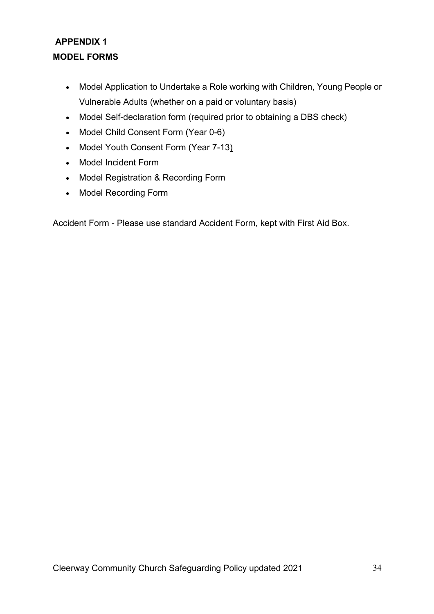# **APPENDIX 1 MODEL FORMS**

- Model Application to Undertake a Role working with Children, Young People or Vulnerable Adults (whether on a paid or voluntary basis)
- Model Self-declaration form (required prior to obtaining a DBS check)
- Model Child Consent Form (Year 0-6)
- Model Youth Consent Form (Year 7-13)
- Model Incident Form
- Model Registration & Recording Form
- Model Recording Form

Accident Form - Please use standard Accident Form, kept with First Aid Box.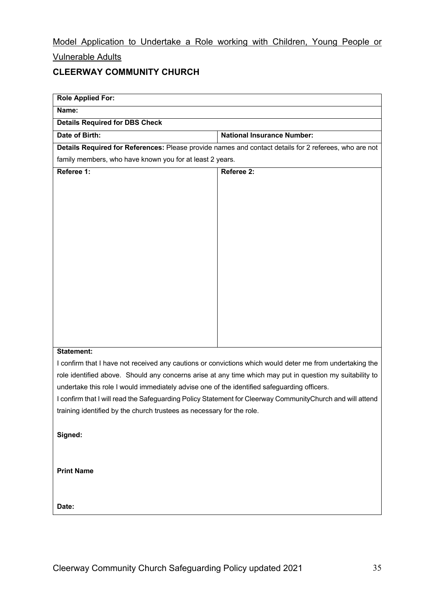# Model Application to Undertake a Role working with Children, Young People or

### Vulnerable Adults

### **CLEERWAY COMMUNITY CHURCH**

| <b>Role Applied For:</b>                                                                    |                                                                                                           |  |
|---------------------------------------------------------------------------------------------|-----------------------------------------------------------------------------------------------------------|--|
| Name:                                                                                       |                                                                                                           |  |
| <b>Details Required for DBS Check</b>                                                       |                                                                                                           |  |
| Date of Birth:                                                                              | <b>National Insurance Number:</b>                                                                         |  |
|                                                                                             | Details Required for References: Please provide names and contact details for 2 referees, who are not     |  |
| family members, who have known you for at least 2 years.                                    |                                                                                                           |  |
| Referee 1:                                                                                  | Referee 2:                                                                                                |  |
|                                                                                             |                                                                                                           |  |
|                                                                                             |                                                                                                           |  |
|                                                                                             |                                                                                                           |  |
|                                                                                             |                                                                                                           |  |
|                                                                                             |                                                                                                           |  |
|                                                                                             |                                                                                                           |  |
|                                                                                             |                                                                                                           |  |
|                                                                                             |                                                                                                           |  |
|                                                                                             |                                                                                                           |  |
|                                                                                             |                                                                                                           |  |
|                                                                                             |                                                                                                           |  |
|                                                                                             |                                                                                                           |  |
|                                                                                             |                                                                                                           |  |
|                                                                                             |                                                                                                           |  |
| <b>Statement:</b>                                                                           |                                                                                                           |  |
|                                                                                             | I confirm that I have not received any cautions or convictions which would deter me from undertaking the  |  |
|                                                                                             | role identified above. Should any concerns arise at any time which may put in question my suitability to  |  |
| undertake this role I would immediately advise one of the identified safeguarding officers. | I confirm that I will read the Safeguarding Policy Statement for Cleerway CommunityChurch and will attend |  |
| training identified by the church trustees as necessary for the role.                       |                                                                                                           |  |
|                                                                                             |                                                                                                           |  |
| Signed:                                                                                     |                                                                                                           |  |
|                                                                                             |                                                                                                           |  |
|                                                                                             |                                                                                                           |  |
| <b>Print Name</b>                                                                           |                                                                                                           |  |
|                                                                                             |                                                                                                           |  |
|                                                                                             |                                                                                                           |  |
| Date:                                                                                       |                                                                                                           |  |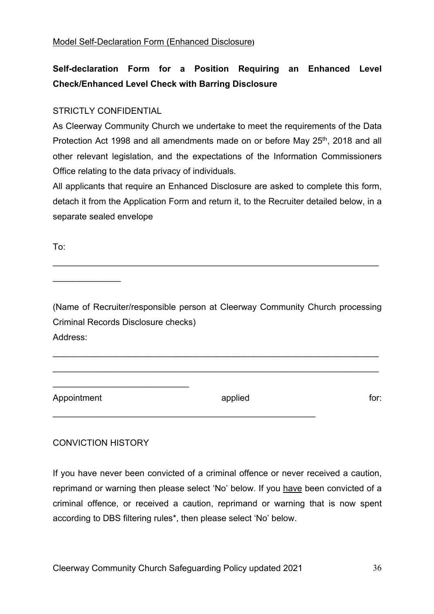### Model Self-Declaration Form (Enhanced Disclosure**)**

# **Self-declaration Form for a Position Requiring an Enhanced Level Check/Enhanced Level Check with Barring Disclosure**

### STRICTLY CONFIDENTIAL

As Cleerway Community Church we undertake to meet the requirements of the Data Protection Act 1998 and all amendments made on or before May 25<sup>th</sup>, 2018 and all other relevant legislation, and the expectations of the Information Commissioners Office relating to the data privacy of individuals.

All applicants that require an Enhanced Disclosure are asked to complete this form, detach it from the Application Form and return it, to the Recruiter detailed below, in a separate sealed envelope

To:

 $\frac{1}{2}$ 

(Name of Recruiter/responsible person at Cleerway Community Church processing Criminal Records Disclosure checks) Address:

 $\mathcal{L}_\text{G}$  , and the contribution of the contribution of the contribution of the contribution of the contribution of the contribution of the contribution of the contribution of the contribution of the contribution of t

 $\mathcal{L}_\text{G}$  , and the contribution of the contribution of the contribution of the contribution of the contribution of the contribution of the contribution of the contribution of the contribution of the contribution of t

 $\mathcal{L}_\text{max} = \mathcal{L}_\text{max} = \mathcal{L}_\text{max} = \mathcal{L}_\text{max} = \mathcal{L}_\text{max} = \mathcal{L}_\text{max} = \mathcal{L}_\text{max} = \mathcal{L}_\text{max} = \mathcal{L}_\text{max} = \mathcal{L}_\text{max} = \mathcal{L}_\text{max} = \mathcal{L}_\text{max} = \mathcal{L}_\text{max} = \mathcal{L}_\text{max} = \mathcal{L}_\text{max} = \mathcal{L}_\text{max} = \mathcal{L}_\text{max} = \mathcal{L}_\text{max} = \mathcal{$ 

| Appointment | applied | for: |
|-------------|---------|------|
|             |         |      |

### CONVICTION HISTORY

If you have never been convicted of a criminal offence or never received a caution, reprimand or warning then please select 'No' below. If you have been convicted of a criminal offence, or received a caution, reprimand or warning that is now spent according to DBS filtering rules\*, then please select 'No' below.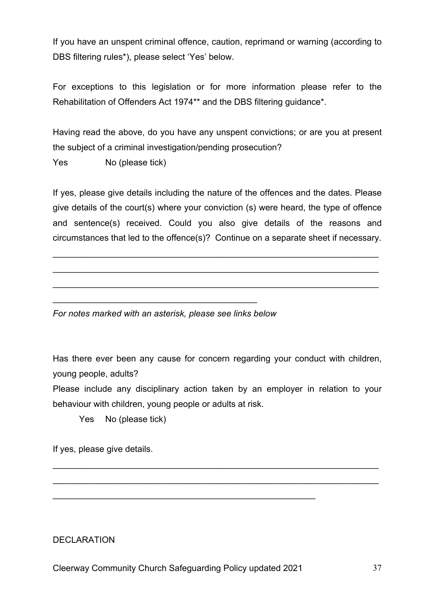If you have an unspent criminal offence, caution, reprimand or warning (according to DBS filtering rules\*), please select 'Yes' below.

For exceptions to this legislation or for more information please refer to the Rehabilitation of Offenders Act 1974\*\* and the DBS filtering guidance\*.

Having read the above, do you have any unspent convictions; or are you at present the subject of a criminal investigation/pending prosecution? Yes No (please tick)

If yes, please give details including the nature of the offences and the dates. Please give details of the court(s) where your conviction (s) were heard, the type of offence and sentence(s) received. Could you also give details of the reasons and circumstances that led to the offence(s)? Continue on a separate sheet if necessary.

 $\mathcal{L}_\text{max} = \mathcal{L}_\text{max} = \mathcal{L}_\text{max} = \mathcal{L}_\text{max} = \mathcal{L}_\text{max} = \mathcal{L}_\text{max} = \mathcal{L}_\text{max} = \mathcal{L}_\text{max} = \mathcal{L}_\text{max} = \mathcal{L}_\text{max} = \mathcal{L}_\text{max} = \mathcal{L}_\text{max} = \mathcal{L}_\text{max} = \mathcal{L}_\text{max} = \mathcal{L}_\text{max} = \mathcal{L}_\text{max} = \mathcal{L}_\text{max} = \mathcal{L}_\text{max} = \mathcal{$ 

 $\mathcal{L}_\text{max} = \mathcal{L}_\text{max} = \mathcal{L}_\text{max} = \mathcal{L}_\text{max} = \mathcal{L}_\text{max} = \mathcal{L}_\text{max} = \mathcal{L}_\text{max} = \mathcal{L}_\text{max} = \mathcal{L}_\text{max} = \mathcal{L}_\text{max} = \mathcal{L}_\text{max} = \mathcal{L}_\text{max} = \mathcal{L}_\text{max} = \mathcal{L}_\text{max} = \mathcal{L}_\text{max} = \mathcal{L}_\text{max} = \mathcal{L}_\text{max} = \mathcal{L}_\text{max} = \mathcal{$ 

 $\mathcal{L}_\text{G}$  , and the contribution of the contribution of the contribution of the contribution of the contribution of the contribution of the contribution of the contribution of the contribution of the contribution of t

*For notes marked with an asterisk, please see links below*

 $\mathcal{L}_\text{max}$  , and the set of the set of the set of the set of the set of the set of the set of the set of the set of the set of the set of the set of the set of the set of the set of the set of the set of the set of the

Has there ever been any cause for concern regarding your conduct with children, young people, adults?

Please include any disciplinary action taken by an employer in relation to your behaviour with children, young people or adults at risk.

 $\mathcal{L}_\text{max} = \mathcal{L}_\text{max} = \mathcal{L}_\text{max} = \mathcal{L}_\text{max} = \mathcal{L}_\text{max} = \mathcal{L}_\text{max} = \mathcal{L}_\text{max} = \mathcal{L}_\text{max} = \mathcal{L}_\text{max} = \mathcal{L}_\text{max} = \mathcal{L}_\text{max} = \mathcal{L}_\text{max} = \mathcal{L}_\text{max} = \mathcal{L}_\text{max} = \mathcal{L}_\text{max} = \mathcal{L}_\text{max} = \mathcal{L}_\text{max} = \mathcal{L}_\text{max} = \mathcal{$ 

 $\mathcal{L}_\text{G}$  , and the contribution of the contribution of the contribution of the contribution of the contribution of the contribution of the contribution of the contribution of the contribution of the contribution of t

Yes No (please tick)

If yes, please give details.

DECLARATION

Cleerway Community Church Safeguarding Policy updated 2021 37

\_\_\_\_\_\_\_\_\_\_\_\_\_\_\_\_\_\_\_\_\_\_\_\_\_\_\_\_\_\_\_\_\_\_\_\_\_\_\_\_\_\_\_\_\_\_\_\_\_\_\_\_\_\_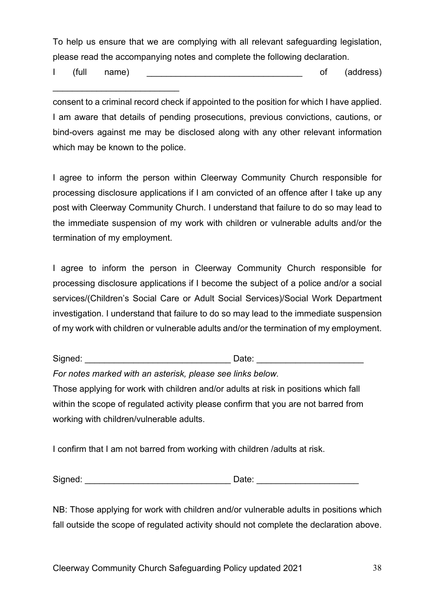To help us ensure that we are complying with all relevant safeguarding legislation, please read the accompanying notes and complete the following declaration.

I (full name) and intervals of (address)

\_\_\_\_\_\_\_\_\_\_\_\_\_\_\_\_\_\_\_\_\_\_\_\_\_\_

consent to a criminal record check if appointed to the position for which I have applied. I am aware that details of pending prosecutions, previous convictions, cautions, or bind-overs against me may be disclosed along with any other relevant information which may be known to the police.

I agree to inform the person within Cleerway Community Church responsible for processing disclosure applications if I am convicted of an offence after I take up any post with Cleerway Community Church. I understand that failure to do so may lead to the immediate suspension of my work with children or vulnerable adults and/or the termination of my employment.

I agree to inform the person in Cleerway Community Church responsible for processing disclosure applications if I become the subject of a police and/or a social services/(Children's Social Care or Adult Social Services)/Social Work Department investigation. I understand that failure to do so may lead to the immediate suspension of my work with children or vulnerable adults and/or the termination of my employment.

Signed: \_\_\_\_\_\_\_\_\_\_\_\_\_\_\_\_\_\_\_\_\_\_\_\_\_\_\_\_\_\_ Date: \_\_\_\_\_\_\_\_\_\_\_\_\_\_\_\_\_\_\_\_\_\_

*For notes marked with an asterisk, please see links below.*

Those applying for work with children and/or adults at risk in positions which fall within the scope of regulated activity please confirm that you are not barred from working with children/vulnerable adults.

I confirm that I am not barred from working with children /adults at risk.

Signed: \_\_\_\_\_\_\_\_\_\_\_\_\_\_\_\_\_\_\_\_\_\_\_\_\_\_\_\_\_\_ Date: \_\_\_\_\_\_\_\_\_\_\_\_\_\_\_\_\_\_\_\_\_

NB: Those applying for work with children and/or vulnerable adults in positions which fall outside the scope of regulated activity should not complete the declaration above.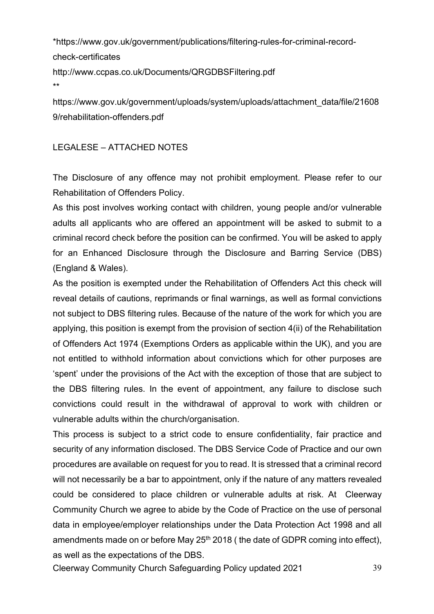\*https://www.gov.uk/government/publications/filtering-rules-for-criminal-recordcheck-certificates http://www.ccpas.co.uk/Documents/QRGDBSFiltering.pdf \*\*

https://www.gov.uk/government/uploads/system/uploads/attachment\_data/file/21608 9/rehabilitation-offenders.pdf

#### LEGALESE – ATTACHED NOTES

The Disclosure of any offence may not prohibit employment. Please refer to our Rehabilitation of Offenders Policy.

As this post involves working contact with children, young people and/or vulnerable adults all applicants who are offered an appointment will be asked to submit to a criminal record check before the position can be confirmed. You will be asked to apply for an Enhanced Disclosure through the Disclosure and Barring Service (DBS) (England & Wales).

As the position is exempted under the Rehabilitation of Offenders Act this check will reveal details of cautions, reprimands or final warnings, as well as formal convictions not subject to DBS filtering rules. Because of the nature of the work for which you are applying, this position is exempt from the provision of section 4(ii) of the Rehabilitation of Offenders Act 1974 (Exemptions Orders as applicable within the UK), and you are not entitled to withhold information about convictions which for other purposes are 'spent' under the provisions of the Act with the exception of those that are subject to the DBS filtering rules. In the event of appointment, any failure to disclose such convictions could result in the withdrawal of approval to work with children or vulnerable adults within the church/organisation.

This process is subject to a strict code to ensure confidentiality, fair practice and security of any information disclosed. The DBS Service Code of Practice and our own procedures are available on request for you to read. It is stressed that a criminal record will not necessarily be a bar to appointment, only if the nature of any matters revealed could be considered to place children or vulnerable adults at risk. At Cleerway Community Church we agree to abide by the Code of Practice on the use of personal data in employee/employer relationships under the Data Protection Act 1998 and all amendments made on or before May  $25<sup>th</sup> 2018$  (the date of GDPR coming into effect), as well as the expectations of the DBS.

Cleerway Community Church Safeguarding Policy updated 2021 39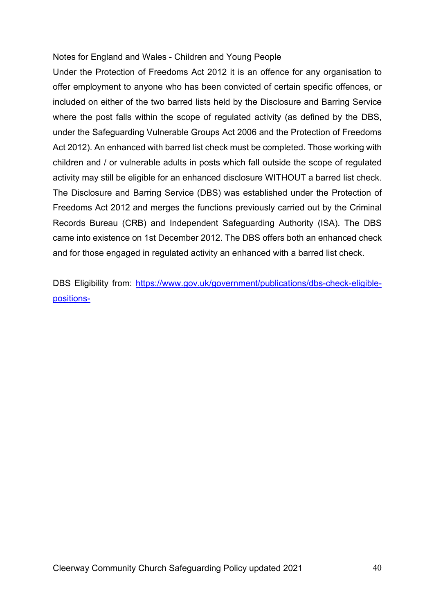### Notes for England and Wales - Children and Young People

Under the Protection of Freedoms Act 2012 it is an offence for any organisation to offer employment to anyone who has been convicted of certain specific offences, or included on either of the two barred lists held by the Disclosure and Barring Service where the post falls within the scope of regulated activity (as defined by the DBS, under the Safeguarding Vulnerable Groups Act 2006 and the Protection of Freedoms Act 2012). An enhanced with barred list check must be completed. Those working with children and / or vulnerable adults in posts which fall outside the scope of regulated activity may still be eligible for an enhanced disclosure WITHOUT a barred list check. The Disclosure and Barring Service (DBS) was established under the Protection of Freedoms Act 2012 and merges the functions previously carried out by the Criminal Records Bureau (CRB) and Independent Safeguarding Authority (ISA). The DBS came into existence on 1st December 2012. The DBS offers both an enhanced check and for those engaged in regulated activity an enhanced with a barred list check.

DBS Eligibility from: https://www.gov.uk/government/publications/dbs-check-eligiblepositions-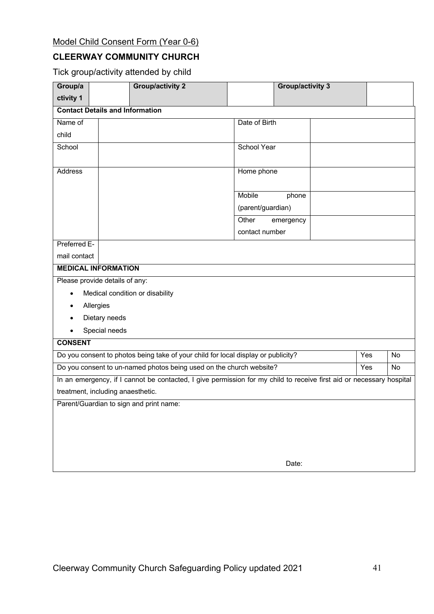# **CLEERWAY COMMUNITY CHURCH**

Tick group/activity attended by child

| Group/a                                                                                                              |                                                                                         | <b>Group/activity 2</b>         | <b>Group/activity 3</b> |  |  |
|----------------------------------------------------------------------------------------------------------------------|-----------------------------------------------------------------------------------------|---------------------------------|-------------------------|--|--|
| ctivity 1                                                                                                            |                                                                                         |                                 |                         |  |  |
| <b>Contact Details and Information</b>                                                                               |                                                                                         |                                 |                         |  |  |
| Name of                                                                                                              |                                                                                         |                                 | Date of Birth           |  |  |
| child                                                                                                                |                                                                                         |                                 |                         |  |  |
| School                                                                                                               |                                                                                         |                                 | School Year             |  |  |
|                                                                                                                      |                                                                                         |                                 |                         |  |  |
| Address                                                                                                              |                                                                                         |                                 | Home phone              |  |  |
|                                                                                                                      |                                                                                         |                                 |                         |  |  |
|                                                                                                                      |                                                                                         |                                 | Mobile<br>phone         |  |  |
|                                                                                                                      |                                                                                         |                                 | (parent/guardian)       |  |  |
|                                                                                                                      |                                                                                         |                                 | Other<br>emergency      |  |  |
|                                                                                                                      | contact number                                                                          |                                 |                         |  |  |
| Preferred E-                                                                                                         |                                                                                         |                                 |                         |  |  |
| mail contact                                                                                                         |                                                                                         |                                 |                         |  |  |
| <b>MEDICAL INFORMATION</b>                                                                                           |                                                                                         |                                 |                         |  |  |
| Please provide details of any:                                                                                       |                                                                                         |                                 |                         |  |  |
|                                                                                                                      |                                                                                         | Medical condition or disability |                         |  |  |
| ٠                                                                                                                    | Allergies                                                                               |                                 |                         |  |  |
| Dietary needs                                                                                                        |                                                                                         |                                 |                         |  |  |
| Special needs                                                                                                        |                                                                                         |                                 |                         |  |  |
| <b>CONSENT</b>                                                                                                       |                                                                                         |                                 |                         |  |  |
| Do you consent to photos being take of your child for local display or publicity?<br>Yes<br><b>No</b>                |                                                                                         |                                 |                         |  |  |
|                                                                                                                      | Do you consent to un-named photos being used on the church website?<br>Yes<br><b>No</b> |                                 |                         |  |  |
| In an emergency, if I cannot be contacted, I give permission for my child to receive first aid or necessary hospital |                                                                                         |                                 |                         |  |  |
| treatment, including anaesthetic.                                                                                    |                                                                                         |                                 |                         |  |  |
| Parent/Guardian to sign and print name:                                                                              |                                                                                         |                                 |                         |  |  |
|                                                                                                                      |                                                                                         |                                 |                         |  |  |
|                                                                                                                      |                                                                                         |                                 |                         |  |  |
|                                                                                                                      |                                                                                         |                                 |                         |  |  |
|                                                                                                                      |                                                                                         |                                 |                         |  |  |
| Date:                                                                                                                |                                                                                         |                                 |                         |  |  |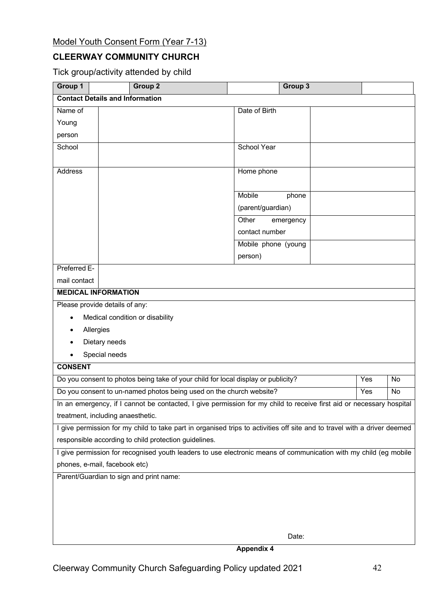# Model Youth Consent Form (Year 7-13)

# **CLEERWAY COMMUNITY CHURCH**

Tick group/activity attended by child

| Group 1                                                                                                                  | <b>Group 2</b>                                                             | Group 3                                                                                                              |    |  |
|--------------------------------------------------------------------------------------------------------------------------|----------------------------------------------------------------------------|----------------------------------------------------------------------------------------------------------------------|----|--|
|                                                                                                                          | <b>Contact Details and Information</b>                                     |                                                                                                                      |    |  |
| Name of                                                                                                                  |                                                                            | Date of Birth                                                                                                        |    |  |
| Young                                                                                                                    |                                                                            |                                                                                                                      |    |  |
| person                                                                                                                   |                                                                            |                                                                                                                      |    |  |
| School                                                                                                                   |                                                                            | School Year                                                                                                          |    |  |
|                                                                                                                          |                                                                            |                                                                                                                      |    |  |
| Address                                                                                                                  |                                                                            | Home phone                                                                                                           |    |  |
|                                                                                                                          |                                                                            |                                                                                                                      |    |  |
|                                                                                                                          |                                                                            | Mobile<br>phone                                                                                                      |    |  |
|                                                                                                                          |                                                                            | (parent/guardian)                                                                                                    |    |  |
|                                                                                                                          |                                                                            | Other<br>emergency                                                                                                   |    |  |
|                                                                                                                          |                                                                            | contact number                                                                                                       |    |  |
|                                                                                                                          |                                                                            | Mobile phone (young                                                                                                  |    |  |
|                                                                                                                          |                                                                            | person)                                                                                                              |    |  |
| Preferred E-                                                                                                             |                                                                            |                                                                                                                      |    |  |
| mail contact                                                                                                             |                                                                            |                                                                                                                      |    |  |
|                                                                                                                          | <b>MEDICAL INFORMATION</b>                                                 |                                                                                                                      |    |  |
|                                                                                                                          | Please provide details of any:                                             |                                                                                                                      |    |  |
|                                                                                                                          | Medical condition or disability                                            |                                                                                                                      |    |  |
|                                                                                                                          | Allergies                                                                  |                                                                                                                      |    |  |
|                                                                                                                          | Dietary needs                                                              |                                                                                                                      |    |  |
|                                                                                                                          | Special needs                                                              |                                                                                                                      |    |  |
| <b>CONSENT</b>                                                                                                           |                                                                            |                                                                                                                      |    |  |
| Do you consent to photos being take of your child for local display or publicity?<br>Yes<br><b>No</b>                    |                                                                            |                                                                                                                      |    |  |
|                                                                                                                          | Do you consent to un-named photos being used on the church website?<br>Yes |                                                                                                                      | No |  |
|                                                                                                                          |                                                                            | In an emergency, if I cannot be contacted, I give permission for my child to receive first aid or necessary hospital |    |  |
| treatment, including anaesthetic.                                                                                        |                                                                            |                                                                                                                      |    |  |
| I give permission for my child to take part in organised trips to activities off site and to travel with a driver deemed |                                                                            |                                                                                                                      |    |  |
| responsible according to child protection guidelines.                                                                    |                                                                            |                                                                                                                      |    |  |
| I give permission for recognised youth leaders to use electronic means of communication with my child (eg mobile         |                                                                            |                                                                                                                      |    |  |
| phones, e-mail, facebook etc)                                                                                            |                                                                            |                                                                                                                      |    |  |
|                                                                                                                          | Parent/Guardian to sign and print name:                                    |                                                                                                                      |    |  |
|                                                                                                                          |                                                                            |                                                                                                                      |    |  |
|                                                                                                                          |                                                                            |                                                                                                                      |    |  |
|                                                                                                                          |                                                                            |                                                                                                                      |    |  |
|                                                                                                                          |                                                                            |                                                                                                                      |    |  |
|                                                                                                                          | Date:                                                                      |                                                                                                                      |    |  |
|                                                                                                                          |                                                                            | <b>Appendix 4</b>                                                                                                    |    |  |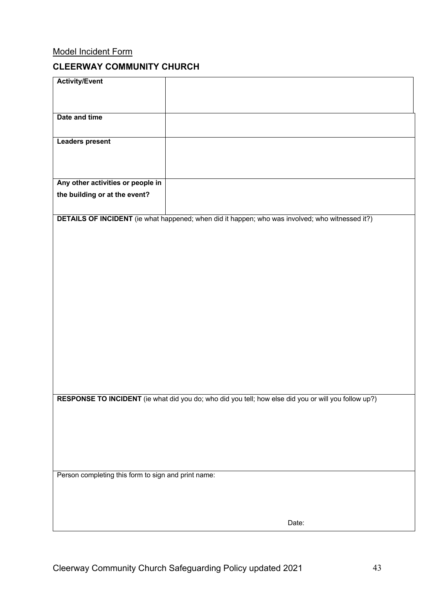### Model Incident Form

### **CLEERWAY COMMUNITY CHURCH**

| <b>Activity/Event</b>                               |                                                                                                      |
|-----------------------------------------------------|------------------------------------------------------------------------------------------------------|
|                                                     |                                                                                                      |
|                                                     |                                                                                                      |
|                                                     |                                                                                                      |
| Date and time                                       |                                                                                                      |
|                                                     |                                                                                                      |
| <b>Leaders present</b>                              |                                                                                                      |
|                                                     |                                                                                                      |
|                                                     |                                                                                                      |
|                                                     |                                                                                                      |
| Any other activities or people in                   |                                                                                                      |
| the building or at the event?                       |                                                                                                      |
|                                                     |                                                                                                      |
|                                                     |                                                                                                      |
|                                                     | DETAILS OF INCIDENT (ie what happened; when did it happen; who was involved; who witnessed it?)      |
|                                                     |                                                                                                      |
|                                                     |                                                                                                      |
|                                                     |                                                                                                      |
|                                                     |                                                                                                      |
|                                                     |                                                                                                      |
|                                                     |                                                                                                      |
|                                                     |                                                                                                      |
|                                                     |                                                                                                      |
|                                                     |                                                                                                      |
|                                                     |                                                                                                      |
|                                                     |                                                                                                      |
|                                                     |                                                                                                      |
|                                                     |                                                                                                      |
|                                                     |                                                                                                      |
|                                                     |                                                                                                      |
|                                                     |                                                                                                      |
|                                                     | RESPONSE TO INCIDENT (ie what did you do; who did you tell; how else did you or will you follow up?) |
|                                                     |                                                                                                      |
|                                                     |                                                                                                      |
|                                                     |                                                                                                      |
|                                                     |                                                                                                      |
|                                                     |                                                                                                      |
|                                                     |                                                                                                      |
|                                                     |                                                                                                      |
| Person completing this form to sign and print name: |                                                                                                      |
|                                                     |                                                                                                      |
|                                                     |                                                                                                      |
|                                                     |                                                                                                      |
|                                                     | Date:                                                                                                |
|                                                     |                                                                                                      |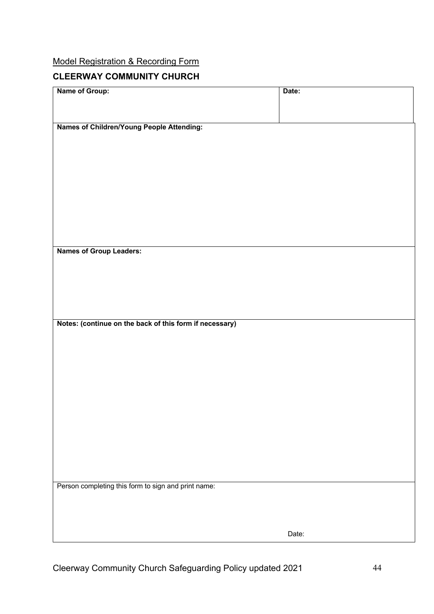# Model Registration & Recording Form

# **CLEERWAY COMMUNITY CHURCH**

| Name of Group:                                          | Date: |
|---------------------------------------------------------|-------|
|                                                         |       |
|                                                         |       |
| Names of Children/Young People Attending:               |       |
|                                                         |       |
|                                                         |       |
|                                                         |       |
|                                                         |       |
|                                                         |       |
|                                                         |       |
|                                                         |       |
|                                                         |       |
|                                                         |       |
|                                                         |       |
| <b>Names of Group Leaders:</b>                          |       |
|                                                         |       |
|                                                         |       |
|                                                         |       |
|                                                         |       |
|                                                         |       |
|                                                         |       |
| Notes: (continue on the back of this form if necessary) |       |
|                                                         |       |
|                                                         |       |
|                                                         |       |
|                                                         |       |
|                                                         |       |
|                                                         |       |
|                                                         |       |
|                                                         |       |
|                                                         |       |
|                                                         |       |
|                                                         |       |
|                                                         |       |
|                                                         |       |
| Person completing this form to sign and print name:     |       |
|                                                         |       |
|                                                         |       |
|                                                         |       |
|                                                         | Date: |
|                                                         |       |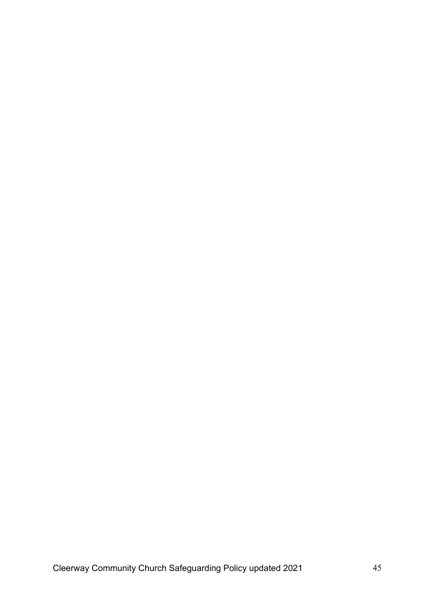Cleerway Community Church Safeguarding Policy updated 2021 45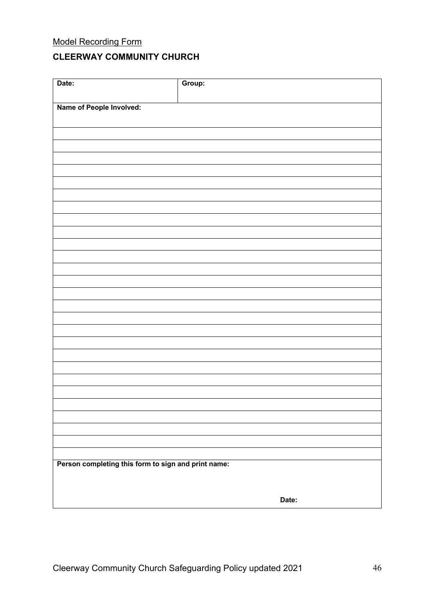# Model Recording Form

# **CLEERWAY COMMUNITY CHURCH**

| Date:                                               | Group: |
|-----------------------------------------------------|--------|
| Name of People Involved:                            |        |
|                                                     |        |
|                                                     |        |
|                                                     |        |
|                                                     |        |
|                                                     |        |
|                                                     |        |
|                                                     |        |
|                                                     |        |
|                                                     |        |
|                                                     |        |
|                                                     |        |
|                                                     |        |
|                                                     |        |
|                                                     |        |
|                                                     |        |
|                                                     |        |
|                                                     |        |
|                                                     |        |
|                                                     |        |
|                                                     |        |
|                                                     |        |
|                                                     |        |
|                                                     |        |
|                                                     |        |
|                                                     |        |
| Person completing this form to sign and print name: |        |
|                                                     |        |
|                                                     | Date:  |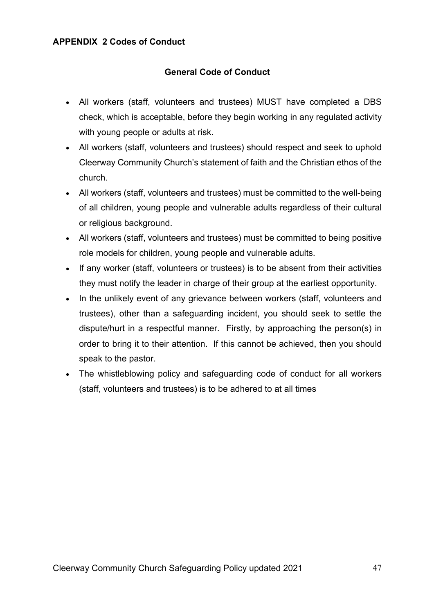### **General Code of Conduct**

- All workers (staff, volunteers and trustees) MUST have completed a DBS check, which is acceptable, before they begin working in any regulated activity with young people or adults at risk.
- All workers (staff, volunteers and trustees) should respect and seek to uphold Cleerway Community Church's statement of faith and the Christian ethos of the church.
- All workers (staff, volunteers and trustees) must be committed to the well-being of all children, young people and vulnerable adults regardless of their cultural or religious background.
- All workers (staff, volunteers and trustees) must be committed to being positive role models for children, young people and vulnerable adults.
- If any worker (staff, volunteers or trustees) is to be absent from their activities they must notify the leader in charge of their group at the earliest opportunity.
- In the unlikely event of any grievance between workers (staff, volunteers and trustees), other than a safeguarding incident, you should seek to settle the dispute/hurt in a respectful manner. Firstly, by approaching the person(s) in order to bring it to their attention. If this cannot be achieved, then you should speak to the pastor.
- The whistleblowing policy and safeguarding code of conduct for all workers (staff, volunteers and trustees) is to be adhered to at all times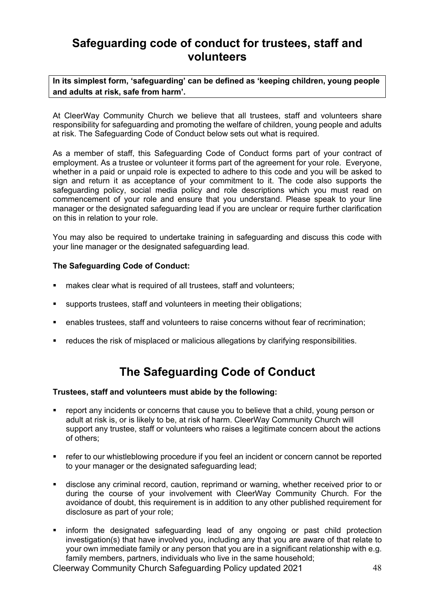# **Safeguarding code of conduct for trustees, staff and volunteers**

**In its simplest form, 'safeguarding' can be defined as 'keeping children, young people and adults at risk, safe from harm'.**

At CleerWay Community Church we believe that all trustees, staff and volunteers share responsibility for safeguarding and promoting the welfare of children, young people and adults at risk. The Safeguarding Code of Conduct below sets out what is required.

As a member of staff, this Safeguarding Code of Conduct forms part of your contract of employment. As a trustee or volunteer it forms part of the agreement for your role. Everyone, whether in a paid or unpaid role is expected to adhere to this code and you will be asked to sign and return it as acceptance of your commitment to it. The code also supports the safeguarding policy, social media policy and role descriptions which you must read on commencement of your role and ensure that you understand. Please speak to your line manager or the designated safeguarding lead if you are unclear or require further clarification on this in relation to your role.

You may also be required to undertake training in safeguarding and discuss this code with your line manager or the designated safeguarding lead.

#### **The Safeguarding Code of Conduct:**

- **■** makes clear what is required of all trustees, staff and volunteers;
- § supports trustees, staff and volunteers in meeting their obligations;
- enables trustees, staff and volunteers to raise concerns without fear of recrimination;
- reduces the risk of misplaced or malicious allegations by clarifying responsibilities.

# **The Safeguarding Code of Conduct**

#### **Trustees, staff and volunteers must abide by the following:**

- report any incidents or concerns that cause you to believe that a child, young person or adult at risk is, or is likely to be, at risk of harm. CleerWay Community Church will support any trustee, staff or volunteers who raises a legitimate concern about the actions of others;
- refer to our whistleblowing procedure if you feel an incident or concern cannot be reported to your manager or the designated safeguarding lead;
- § disclose any criminal record, caution, reprimand or warning, whether received prior to or during the course of your involvement with CleerWay Community Church. For the avoidance of doubt, this requirement is in addition to any other published requirement for disclosure as part of your role;
- inform the designated safeguarding lead of any ongoing or past child protection investigation(s) that have involved you, including any that you are aware of that relate to your own immediate family or any person that you are in a significant relationship with e.g. family members, partners, individuals who live in the same household;

Cleerway Community Church Safeguarding Policy updated 2021 48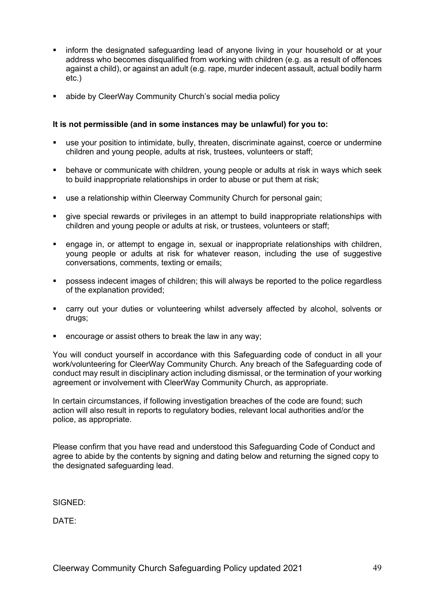- inform the designated safeguarding lead of anyone living in your household or at your address who becomes disqualified from working with children (e.g. as a result of offences against a child), or against an adult (e.g. rape, murder indecent assault, actual bodily harm etc.)
- abide by CleerWay Community Church's social media policy

#### **It is not permissible (and in some instances may be unlawful) for you to:**

- use your position to intimidate, bully, threaten, discriminate against, coerce or undermine children and young people, adults at risk, trustees, volunteers or staff;
- behave or communicate with children, young people or adults at risk in ways which seek to build inappropriate relationships in order to abuse or put them at risk;
- use a relationship within Cleerway Community Church for personal gain;
- § give special rewards or privileges in an attempt to build inappropriate relationships with children and young people or adults at risk, or trustees, volunteers or staff;
- engage in, or attempt to engage in, sexual or inappropriate relationships with children, young people or adults at risk for whatever reason, including the use of suggestive conversations, comments, texting or emails;
- **•** possess indecent images of children; this will always be reported to the police regardless of the explanation provided;
- § carry out your duties or volunteering whilst adversely affected by alcohol, solvents or drugs;
- encourage or assist others to break the law in any way;

You will conduct yourself in accordance with this Safeguarding code of conduct in all your work/volunteering for CleerWay Community Church. Any breach of the Safeguarding code of conduct may result in disciplinary action including dismissal, or the termination of your working agreement or involvement with CleerWay Community Church, as appropriate.

In certain circumstances, if following investigation breaches of the code are found; such action will also result in reports to regulatory bodies, relevant local authorities and/or the police, as appropriate.

Please confirm that you have read and understood this Safeguarding Code of Conduct and agree to abide by the contents by signing and dating below and returning the signed copy to the designated safeguarding lead.

SIGNED:

DATE: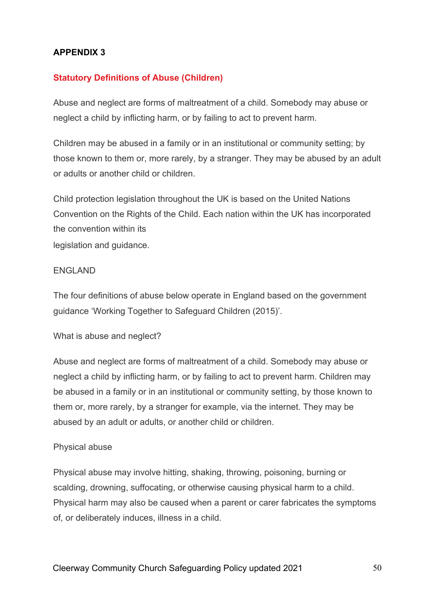### **APPENDIX 3**

### **Statutory Definitions of Abuse (Children)**

Abuse and neglect are forms of maltreatment of a child. Somebody may abuse or neglect a child by inflicting harm, or by failing to act to prevent harm.

Children may be abused in a family or in an institutional or community setting; by those known to them or, more rarely, by a stranger. They may be abused by an adult or adults or another child or children.

Child protection legislation throughout the UK is based on the United Nations Convention on the Rights of the Child. Each nation within the UK has incorporated the convention within its legislation and guidance.

### ENGLAND

The four definitions of abuse below operate in England based on the government guidance 'Working Together to Safeguard Children (2015)'.

What is abuse and neglect?

Abuse and neglect are forms of maltreatment of a child. Somebody may abuse or neglect a child by inflicting harm, or by failing to act to prevent harm. Children may be abused in a family or in an institutional or community setting, by those known to them or, more rarely, by a stranger for example, via the internet. They may be abused by an adult or adults, or another child or children.

### Physical abuse

Physical abuse may involve hitting, shaking, throwing, poisoning, burning or scalding, drowning, suffocating, or otherwise causing physical harm to a child. Physical harm may also be caused when a parent or carer fabricates the symptoms of, or deliberately induces, illness in a child.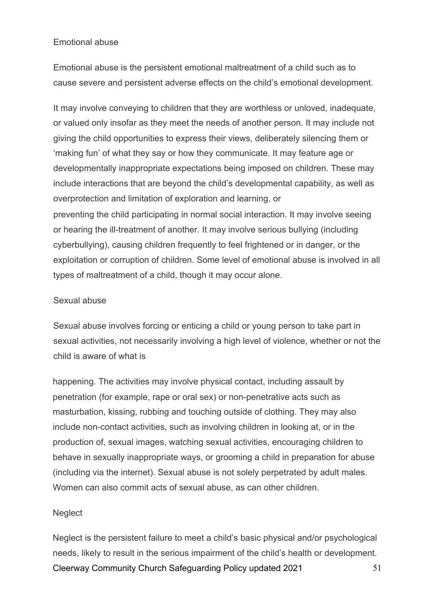#### Emotional abuse

Emotional abuse is the persistent emotional maltreatment of a child such as to cause severe and persistent adverse effects on the child's emotional development.

It may involve conveying to children that they are worthless or unloved, inadequate, or valued only insofar as they meet the needs of another person. It may include not giving the child opportunities to express their views, deliberately silencing them or 'making fun' of what they say or how they communicate. It may feature age or developmentally inappropriate expectations being imposed on children. These may include interactions that are beyond the child's developmental capability, as well as overprotection and limitation of exploration and learning, or preventing the child participating in normal social interaction. It may involve seeing or hearing the ill-treatment of another. It may involve serious bullying (including cyberbullying), causing children frequently to feel frightened or in danger, or the exploitation or corruption of children. Some level of emotional abuse is involved in all

#### Sexual abuse

Sexual abuse involves forcing or enticing a child or young person to take part in sexual activities, not necessarily involving a high level of violence, whether or not the child is aware of what is

types of maltreatment of a child, though it may occur alone.

happening. The activities may involve physical contact, including assault by penetration (for example, rape or oral sex) or non-penetrative acts such as masturbation, kissing, rubbing and touching outside of clothing. They may also include non-contact activities, such as involving children in looking at, or in the production of, sexual images, watching sexual activities, encouraging children to behave in sexually inappropriate ways, or grooming a child in preparation for abuse (including via the internet). Sexual abuse is not solely perpetrated by adult males. Women can also commit acts of sexual abuse, as can other children.

#### **Neglect**

Cleerway Community Church Safeguarding Policy updated 2021 51 Neglect is the persistent failure to meet a child's basic physical and/or psychological needs, likely to result in the serious impairment of the child's health or development.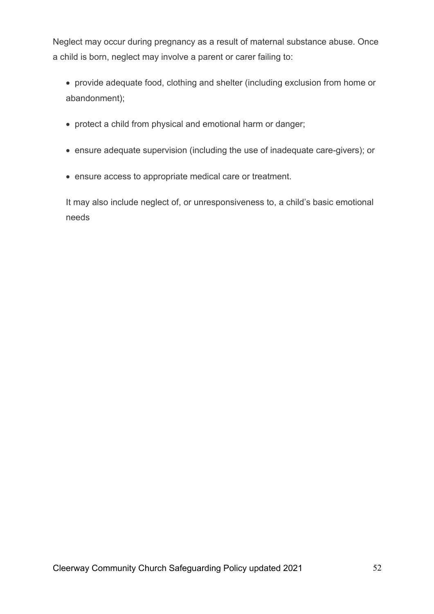Neglect may occur during pregnancy as a result of maternal substance abuse. Once a child is born, neglect may involve a parent or carer failing to:

- provide adequate food, clothing and shelter (including exclusion from home or abandonment);
- protect a child from physical and emotional harm or danger;
- ensure adequate supervision (including the use of inadequate care-givers); or
- ensure access to appropriate medical care or treatment.

It may also include neglect of, or unresponsiveness to, a child's basic emotional needs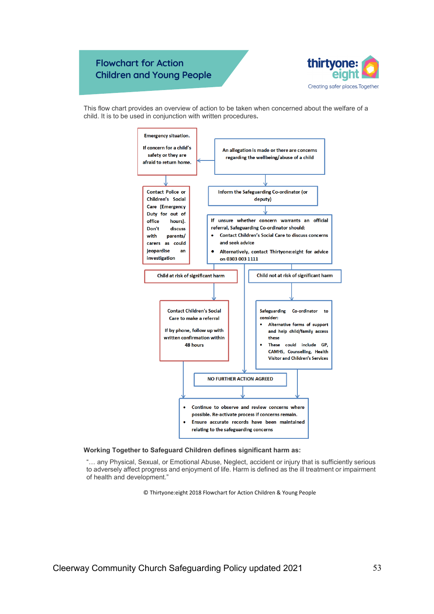

This flow chart provides an overview of action to be taken when concerned about the welfare of a child. It is to be used in conjunction with written procedures**.**



#### **Working Together to Safeguard Children defines significant harm as:**

"… any Physical, Sexual, or Emotional Abuse, Neglect, accident or injury that is sufficiently serious to adversely affect progress and enjoyment of life. Harm is defined as the ill treatment or impairment of health and development."

© Thirtyone:eight 2018 Flowchart for Action Children & Young People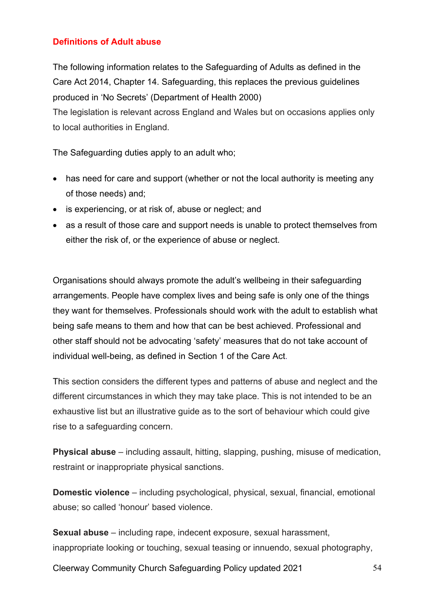### **Definitions of Adult abuse**

The following information relates to the Safeguarding of Adults as defined in the Care Act 2014, Chapter 14. Safeguarding, this replaces the previous guidelines produced in 'No Secrets' (Department of Health 2000)

The legislation is relevant across England and Wales but on occasions applies only to local authorities in England.

The Safeguarding duties apply to an adult who;

- has need for care and support (whether or not the local authority is meeting any of those needs) and;
- is experiencing, or at risk of, abuse or neglect; and
- as a result of those care and support needs is unable to protect themselves from either the risk of, or the experience of abuse or neglect.

Organisations should always promote the adult's wellbeing in their safeguarding arrangements. People have complex lives and being safe is only one of the things they want for themselves. Professionals should work with the adult to establish what being safe means to them and how that can be best achieved. Professional and other staff should not be advocating 'safety' measures that do not take account of individual well-being, as defined in Section 1 of the Care Act.

This section considers the different types and patterns of abuse and neglect and the different circumstances in which they may take place. This is not intended to be an exhaustive list but an illustrative guide as to the sort of behaviour which could give rise to a safeguarding concern.

**Physical abuse** – including assault, hitting, slapping, pushing, misuse of medication, restraint or inappropriate physical sanctions.

**Domestic violence** – including psychological, physical, sexual, financial, emotional abuse; so called 'honour' based violence.

**Sexual abuse** – including rape, indecent exposure, sexual harassment, inappropriate looking or touching, sexual teasing or innuendo, sexual photography,

Cleerway Community Church Safeguarding Policy updated 2021 54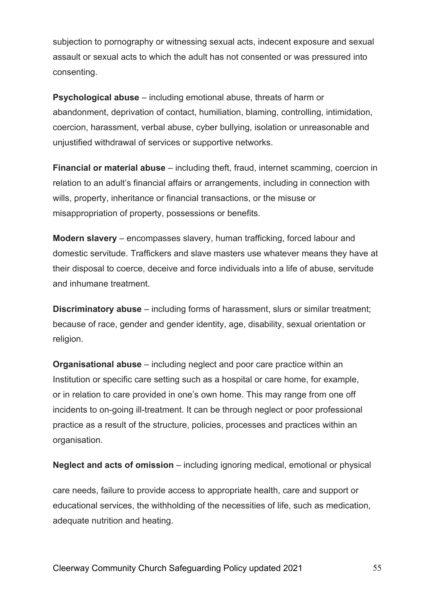subjection to pornography or witnessing sexual acts, indecent exposure and sexual assault or sexual acts to which the adult has not consented or was pressured into consenting.

**Psychological abuse** – including emotional abuse, threats of harm or abandonment, deprivation of contact, humiliation, blaming, controlling, intimidation, coercion, harassment, verbal abuse, cyber bullying, isolation or unreasonable and unjustified withdrawal of services or supportive networks.

**Financial or material abuse** – including theft, fraud, internet scamming, coercion in relation to an adult's financial affairs or arrangements, including in connection with wills, property, inheritance or financial transactions, or the misuse or misappropriation of property, possessions or benefits.

**Modern slavery** – encompasses slavery, human trafficking, forced labour and domestic servitude. Traffickers and slave masters use whatever means they have at their disposal to coerce, deceive and force individuals into a life of abuse, servitude and inhumane treatment.

**Discriminatory abuse** – including forms of harassment, slurs or similar treatment; because of race, gender and gender identity, age, disability, sexual orientation or religion.

**Organisational abuse** – including neglect and poor care practice within an Institution or specific care setting such as a hospital or care home, for example, or in relation to care provided in one's own home. This may range from one off incidents to on-going ill-treatment. It can be through neglect or poor professional practice as a result of the structure, policies, processes and practices within an organisation.

**Neglect and acts of omission** – including ignoring medical, emotional or physical

care needs, failure to provide access to appropriate health, care and support or educational services, the withholding of the necessities of life, such as medication, adequate nutrition and heating.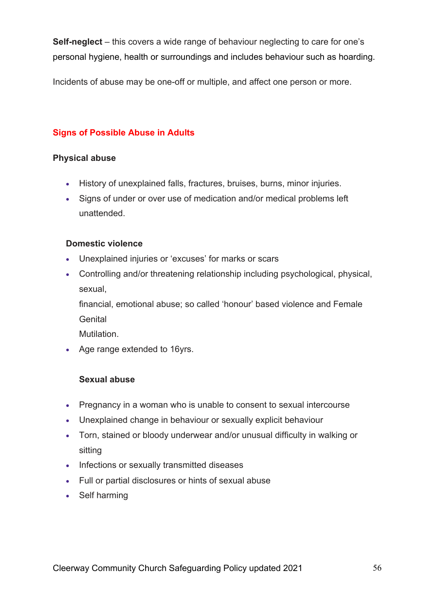**Self-neglect** – this covers a wide range of behaviour neglecting to care for one's personal hygiene, health or surroundings and includes behaviour such as hoarding.

Incidents of abuse may be one-off or multiple, and affect one person or more.

### **Signs of Possible Abuse in Adults**

### **Physical abuse**

- History of unexplained falls, fractures, bruises, burns, minor injuries.
- Signs of under or over use of medication and/or medical problems left unattended.

### **Domestic violence**

- Unexplained injuries or 'excuses' for marks or scars
- Controlling and/or threatening relationship including psychological, physical, sexual,

financial, emotional abuse; so called 'honour' based violence and Female Genital

Mutilation.

• Age range extended to 16yrs.

### **Sexual abuse**

- Pregnancy in a woman who is unable to consent to sexual intercourse
- Unexplained change in behaviour or sexually explicit behaviour
- Torn, stained or bloody underwear and/or unusual difficulty in walking or sitting
- Infections or sexually transmitted diseases
- Full or partial disclosures or hints of sexual abuse
- Self harming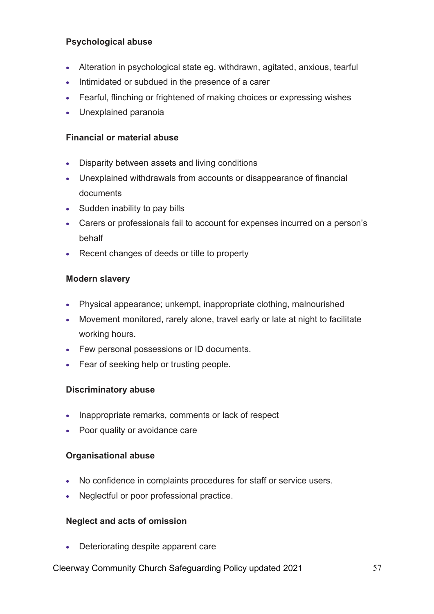### **Psychological abuse**

- Alteration in psychological state eg. withdrawn, agitated, anxious, tearful
- Intimidated or subdued in the presence of a carer
- Fearful, flinching or frightened of making choices or expressing wishes
- Unexplained paranoia

#### **Financial or material abuse**

- Disparity between assets and living conditions
- Unexplained withdrawals from accounts or disappearance of financial documents
- Sudden inability to pay bills
- Carers or professionals fail to account for expenses incurred on a person's behalf
- Recent changes of deeds or title to property

#### **Modern slavery**

- Physical appearance; unkempt, inappropriate clothing, malnourished
- Movement monitored, rarely alone, travel early or late at night to facilitate working hours.
- Few personal possessions or ID documents.
- Fear of seeking help or trusting people.

#### **Discriminatory abuse**

- Inappropriate remarks, comments or lack of respect
- Poor quality or avoidance care

### **Organisational abuse**

- No confidence in complaints procedures for staff or service users.
- Neglectful or poor professional practice.

#### **Neglect and acts of omission**

• Deteriorating despite apparent care

#### Cleerway Community Church Safeguarding Policy updated 2021 57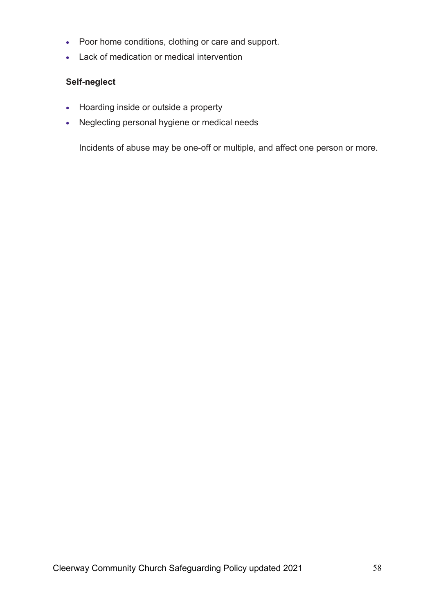- Poor home conditions, clothing or care and support.
- Lack of medication or medical intervention

### **Self-neglect**

- Hoarding inside or outside a property
- Neglecting personal hygiene or medical needs

Incidents of abuse may be one-off or multiple, and affect one person or more.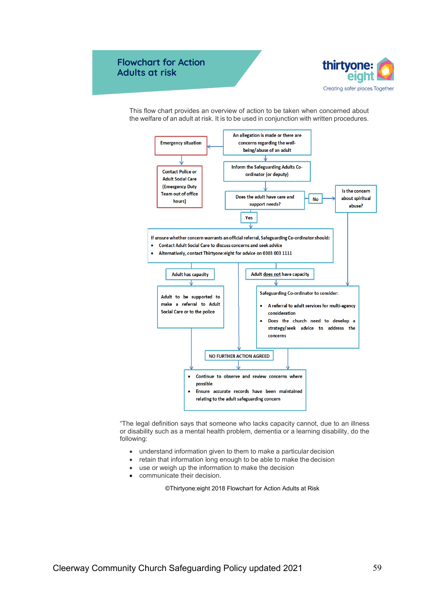

This flow chart provides an overview of action to be taken when concerned about the welfare of an adult at risk. It is to be used in conjunction with written procedures.



"The legal definition says that someone who lacks capacity cannot, due to an illness or disability such as a mental health problem, dementia or a learning disability, do the following:

- understand information given to them to make a particular decision
- retain that information long enough to be able to make the decision
- use or weigh up the information to make the decision
- communicate their decision.

©Thirtyone:eight 2018 Flowchart for Action Adults at Risk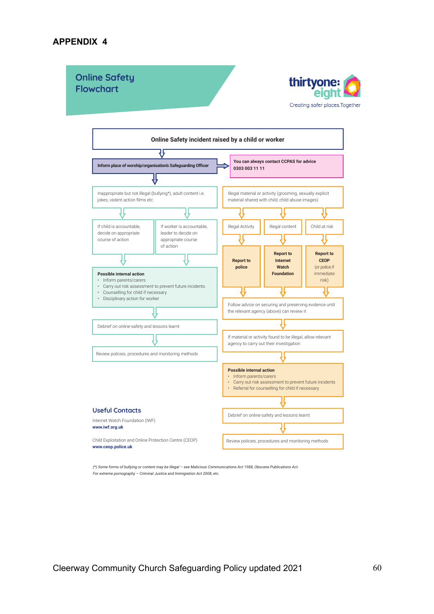**Online Safety Flowchart**





*(\*) Some forms of bullying or content may be illegal – see Malicious Communications Act 1988, Obscene Publications Act. For extreme pornography – Criminal Justice and Immigration Act 2008, etc.*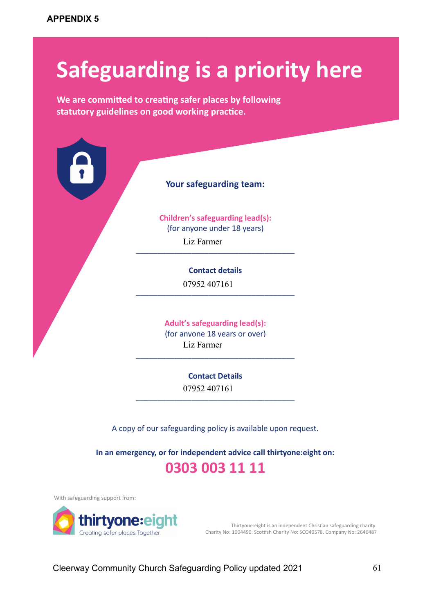# **Safeguarding is a priority here**

**We are commited to creatng safer places by following**  statutory guidelines on good working practice.



**Contact Details** \_\_\_\_\_\_\_\_\_\_\_\_\_\_\_\_\_\_\_\_\_\_\_\_\_\_\_\_\_\_\_\_\_\_\_\_\_ 07952 407161

A copy of our safeguarding policy is available upon request.

**In an emergency, or for independent advice call thirtyone:eight on: 0303 003 11 11**

With safeguarding support from:



Thirtyone: eight is an independent Christian safeguarding charity. Charity No: 1004490. Scottish Charity No: SCO40578. Company No: 2646487

Cleerway Community Church Safeguarding Policy updated 2021 61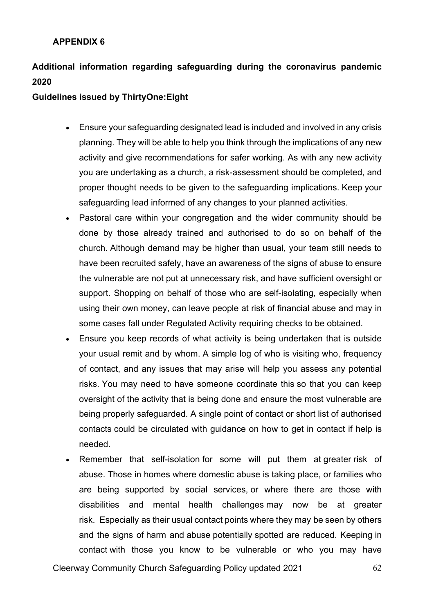### **APPENDIX 6**

# **Additional information regarding safeguarding during the coronavirus pandemic 2020**

### **Guidelines issued by ThirtyOne:Eight**

- Ensure your safeguarding designated lead is included and involved in any crisis planning. They will be able to help you think through the implications of any new activity and give recommendations for safer working. As with any new activity you are undertaking as a church, a risk-assessment should be completed, and proper thought needs to be given to the safeguarding implications. Keep your safeguarding lead informed of any changes to your planned activities.
- Pastoral care within your congregation and the wider community should be done by those already trained and authorised to do so on behalf of the church. Although demand may be higher than usual, your team still needs to have been recruited safely, have an awareness of the signs of abuse to ensure the vulnerable are not put at unnecessary risk, and have sufficient oversight or support. Shopping on behalf of those who are self-isolating, especially when using their own money, can leave people at risk of financial abuse and may in some cases fall under Regulated Activity requiring checks to be obtained.
- Ensure you keep records of what activity is being undertaken that is outside your usual remit and by whom. A simple log of who is visiting who, frequency of contact, and any issues that may arise will help you assess any potential risks. You may need to have someone coordinate this so that you can keep oversight of the activity that is being done and ensure the most vulnerable are being properly safeguarded. A single point of contact or short list of authorised contacts could be circulated with guidance on how to get in contact if help is needed.
- Remember that self-isolation for some will put them at greater risk of abuse. Those in homes where domestic abuse is taking place, or families who are being supported by social services, or where there are those with disabilities and mental health challenges may now be at greater risk. Especially as their usual contact points where they may be seen by others and the signs of harm and abuse potentially spotted are reduced. Keeping in contact with those you know to be vulnerable or who you may have

Cleerway Community Church Safeguarding Policy updated 2021 62